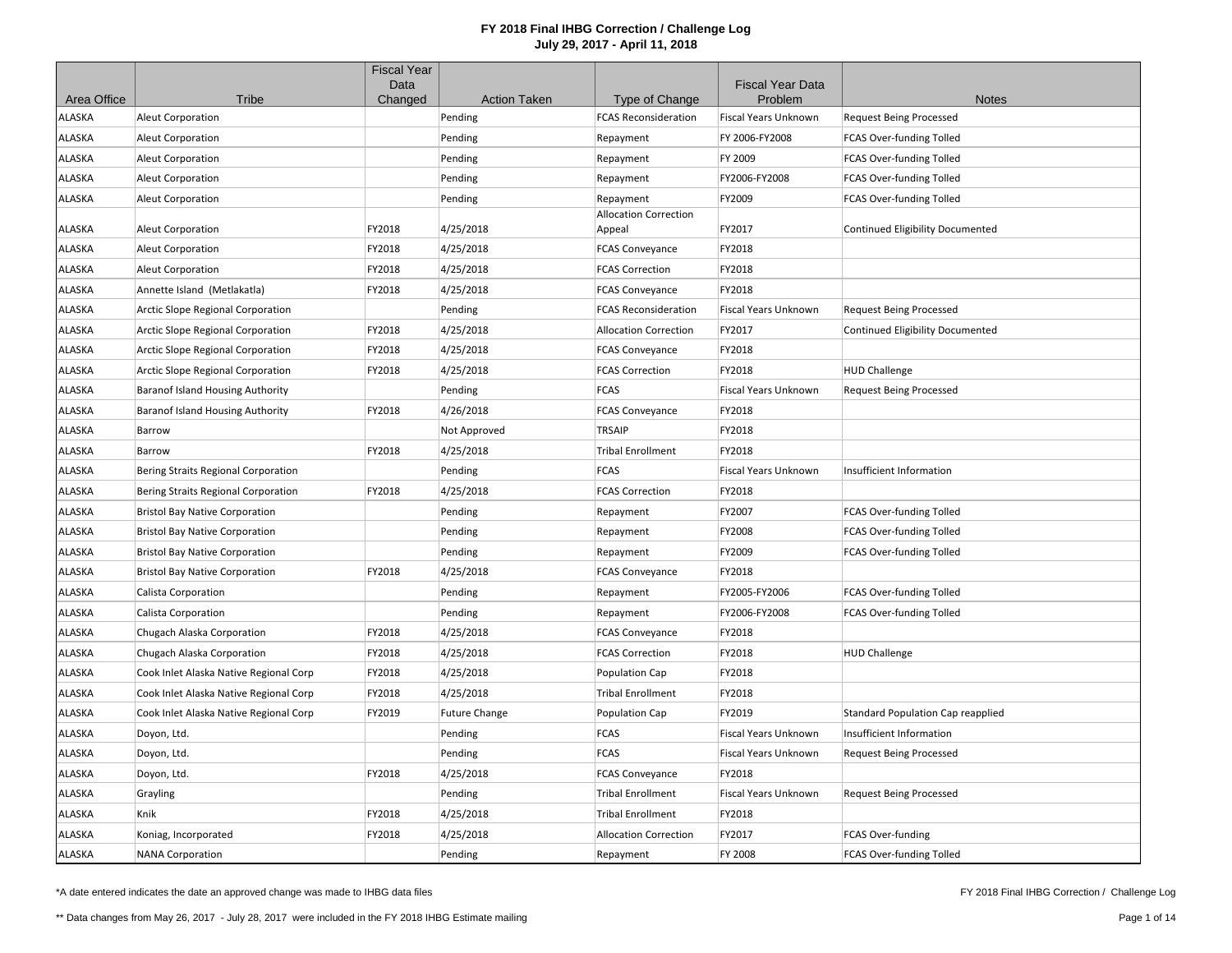|               |                                          | <b>Fiscal Year</b><br>Data |                      |                                        | <b>Fiscal Year Data</b>     |                                         |
|---------------|------------------------------------------|----------------------------|----------------------|----------------------------------------|-----------------------------|-----------------------------------------|
| Area Office   | Tribe                                    | Changed                    | <b>Action Taken</b>  | Type of Change                         | Problem                     | <b>Notes</b>                            |
| ALASKA        | <b>Aleut Corporation</b>                 |                            | Pending              | <b>FCAS Reconsideration</b>            | Fiscal Years Unknown        | <b>Request Being Processed</b>          |
| ALASKA        | Aleut Corporation                        |                            | Pending              | Repayment                              | FY 2006-FY2008              | FCAS Over-funding Tolled                |
| ALASKA        | Aleut Corporation                        |                            | Pending              | Repayment                              | FY 2009                     | FCAS Over-funding Tolled                |
| ALASKA        | Aleut Corporation                        |                            | Pending              | Repayment                              | FY2006-FY2008               | FCAS Over-funding Tolled                |
| ALASKA        | <b>Aleut Corporation</b>                 |                            | Pending              | Repayment                              | FY2009                      | FCAS Over-funding Tolled                |
| ALASKA        | Aleut Corporation                        | FY2018                     | 4/25/2018            | <b>Allocation Correction</b><br>Appeal | FY2017                      | <b>Continued Eligibility Documented</b> |
| ALASKA        | <b>Aleut Corporation</b>                 | FY2018                     | 4/25/2018            | <b>FCAS Conveyance</b>                 | FY2018                      |                                         |
| ALASKA        | Aleut Corporation                        | FY2018                     | 4/25/2018            | <b>FCAS Correction</b>                 | FY2018                      |                                         |
| ALASKA        | Annette Island (Metlakatla)              | FY2018                     | 4/25/2018            | <b>FCAS Conveyance</b>                 | FY2018                      |                                         |
| ALASKA        | <b>Arctic Slope Regional Corporation</b> |                            | Pending              | <b>FCAS Reconsideration</b>            | <b>Fiscal Years Unknown</b> | <b>Request Being Processed</b>          |
| <b>ILASKA</b> | Arctic Slope Regional Corporation        | FY2018                     | 4/25/2018            | <b>Allocation Correction</b>           | FY2017                      | <b>Continued Eligibility Documented</b> |
| ALASKA        | Arctic Slope Regional Corporation        | FY2018                     | 4/25/2018            | <b>FCAS Conveyance</b>                 | FY2018                      |                                         |
| ALASKA        | Arctic Slope Regional Corporation        | FY2018                     | 4/25/2018            | <b>FCAS Correction</b>                 | FY2018                      | <b>HUD Challenge</b>                    |
| ALASKA        | <b>Baranof Island Housing Authority</b>  |                            | Pending              | <b>FCAS</b>                            | Fiscal Years Unknown        | <b>Request Being Processed</b>          |
| ALASKA        | <b>Baranof Island Housing Authority</b>  | FY2018                     | 4/26/2018            | <b>FCAS Conveyance</b>                 | FY2018                      |                                         |
| ALASKA        | Barrow                                   |                            | Not Approved         | <b>TRSAIP</b>                          | FY2018                      |                                         |
| ALASKA        | Barrow                                   | FY2018                     | 4/25/2018            | <b>Tribal Enrollment</b>               | FY2018                      |                                         |
| ALASKA        | Bering Straits Regional Corporation      |                            | Pending              | <b>FCAS</b>                            | Fiscal Years Unknown        | Insufficient Information                |
| ALASKA        | Bering Straits Regional Corporation      | FY2018                     | 4/25/2018            | <b>FCAS Correction</b>                 | FY2018                      |                                         |
| ALASKA        | <b>Bristol Bay Native Corporation</b>    |                            | Pending              | Repayment                              | FY2007                      | FCAS Over-funding Tolled                |
| ALASKA        | <b>Bristol Bay Native Corporation</b>    |                            | Pending              | Repayment                              | FY2008                      | FCAS Over-funding Tolled                |
| ALASKA        | <b>Bristol Bay Native Corporation</b>    |                            | Pending              | Repayment                              | FY2009                      | FCAS Over-funding Tolled                |
| ALASKA        | <b>Bristol Bay Native Corporation</b>    | FY2018                     | 4/25/2018            | <b>FCAS Conveyance</b>                 | FY2018                      |                                         |
| ALASKA        | Calista Corporation                      |                            | Pending              | Repayment                              | FY2005-FY2006               | FCAS Over-funding Tolled                |
| ALASKA        | Calista Corporation                      |                            | Pending              | Repayment                              | FY2006-FY2008               | FCAS Over-funding Tolled                |
| ALASKA        | Chugach Alaska Corporation               | FY2018                     | 4/25/2018            | <b>FCAS Conveyance</b>                 | FY2018                      |                                         |
| ALASKA        | Chugach Alaska Corporation               | FY2018                     | 4/25/2018            | <b>FCAS Correction</b>                 | FY2018                      | <b>HUD Challenge</b>                    |
| ALASKA        | Cook Inlet Alaska Native Regional Corp   | FY2018                     | 4/25/2018            | Population Cap                         | FY2018                      |                                         |
| ALASKA        | Cook Inlet Alaska Native Regional Corp   | FY2018                     | 4/25/2018            | <b>Tribal Enrollment</b>               | FY2018                      |                                         |
| ALASKA        | Cook Inlet Alaska Native Regional Corp   | FY2019                     | <b>Future Change</b> | Population Cap                         | FY2019                      | Standard Population Cap reapplied       |
| ALASKA        | Doyon, Ltd.                              |                            | Pending              | <b>FCAS</b>                            | Fiscal Years Unknown        | Insufficient Information                |
| ALASKA        | Doyon, Ltd.                              |                            | Pending              | <b>FCAS</b>                            | Fiscal Years Unknown        | <b>Request Being Processed</b>          |
| ALASKA        | Doyon, Ltd.                              | FY2018                     | 4/25/2018            | <b>FCAS Conveyance</b>                 | FY2018                      |                                         |
| ALASKA        | Grayling                                 |                            | Pending              | <b>Tribal Enrollment</b>               | <b>Fiscal Years Unknown</b> | <b>Request Being Processed</b>          |
| ALASKA        | Knik                                     | FY2018                     | 4/25/2018            | <b>Tribal Enrollment</b>               | FY2018                      |                                         |
| ALASKA        | Koniag, Incorporated                     | FY2018                     | 4/25/2018            | <b>Allocation Correction</b>           | FY2017                      | FCAS Over-funding                       |
| ALASKA        | <b>NANA Corporation</b>                  |                            | Pending              | Repayment                              | FY 2008                     | FCAS Over-funding Tolled                |

\*A date entered indicates the date an approved change was made to IHBG data files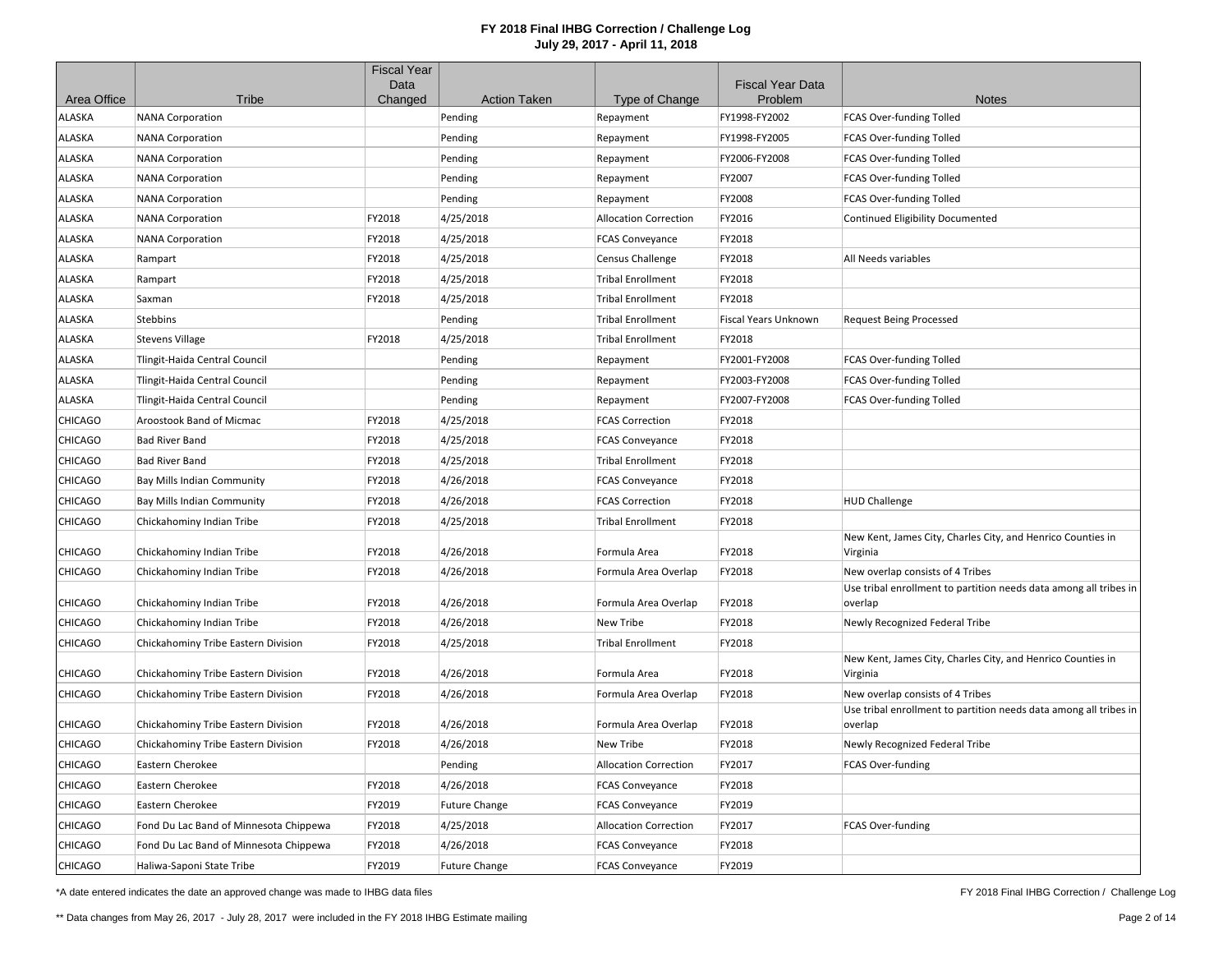|                |                                        | <b>Fiscal Year</b><br>Data |                      |                              | <b>Fiscal Year Data</b> |                                                                              |
|----------------|----------------------------------------|----------------------------|----------------------|------------------------------|-------------------------|------------------------------------------------------------------------------|
| Area Office    | Tribe                                  | Changed                    | <b>Action Taken</b>  | Type of Change               | Problem                 | <b>Notes</b>                                                                 |
| <b>ILASKA</b>  | <b>NANA Corporation</b>                |                            | Pending              | Repayment                    | FY1998-FY2002           | FCAS Over-funding Tolled                                                     |
| ALASKA         | <b>NANA Corporation</b>                |                            | Pending              | Repayment                    | FY1998-FY2005           | FCAS Over-funding Tolled                                                     |
| ALASKA         | <b>NANA Corporation</b>                |                            | Pending              | Repayment                    | FY2006-FY2008           | FCAS Over-funding Tolled                                                     |
| ALASKA         | <b>NANA Corporation</b>                |                            | Pending              | Repayment                    | FY2007                  | FCAS Over-funding Tolled                                                     |
| ALASKA         | <b>NANA Corporation</b>                |                            | Pending              | Repayment                    | FY2008                  | FCAS Over-funding Tolled                                                     |
| ALASKA         | <b>NANA Corporation</b>                | FY2018                     | 4/25/2018            | <b>Allocation Correction</b> | FY2016                  | Continued Eligibility Documented                                             |
| ALASKA         | <b>NANA Corporation</b>                | FY2018                     | 4/25/2018            | <b>FCAS Conveyance</b>       | FY2018                  |                                                                              |
| ALASKA         | Rampart                                | FY2018                     | 4/25/2018            | <b>Census Challenge</b>      | FY2018                  | All Needs variables                                                          |
| ALASKA         | Rampart                                | FY2018                     | 4/25/2018            | <b>Tribal Enrollment</b>     | FY2018                  |                                                                              |
| ALASKA         | Saxman                                 | FY2018                     | 4/25/2018            | <b>Tribal Enrollment</b>     | FY2018                  |                                                                              |
| ALASKA         | <b>Stebbins</b>                        |                            | Pending              | <b>Tribal Enrollment</b>     | Fiscal Years Unknown    | <b>Request Being Processed</b>                                               |
| ALASKA         | <b>Stevens Village</b>                 | FY2018                     | 4/25/2018            | <b>Tribal Enrollment</b>     | FY2018                  |                                                                              |
| ALASKA         | Tlingit-Haida Central Council          |                            | Pending              | Repayment                    | FY2001-FY2008           | FCAS Over-funding Tolled                                                     |
| ALASKA         | Tlingit-Haida Central Council          |                            | Pending              | Repayment                    | FY2003-FY2008           | FCAS Over-funding Tolled                                                     |
| ALASKA         | Tlingit-Haida Central Council          |                            | Pending              | Repayment                    | FY2007-FY2008           | FCAS Over-funding Tolled                                                     |
| CHICAGO        | Aroostook Band of Micmac               | FY2018                     | 4/25/2018            | <b>FCAS Correction</b>       | FY2018                  |                                                                              |
| CHICAGO        | <b>Bad River Band</b>                  | FY2018                     | 4/25/2018            | <b>FCAS Conveyance</b>       | FY2018                  |                                                                              |
| <b>CHICAGO</b> | <b>Bad River Band</b>                  | FY2018                     | 4/25/2018            | <b>Tribal Enrollment</b>     | FY2018                  |                                                                              |
| CHICAGO        | Bay Mills Indian Community             | FY2018                     | 4/26/2018            | <b>FCAS Conveyance</b>       | FY2018                  |                                                                              |
| CHICAGO        | Bay Mills Indian Community             | FY2018                     | 4/26/2018            | <b>FCAS Correction</b>       | FY2018                  | <b>HUD Challenge</b>                                                         |
| CHICAGO        | Chickahominy Indian Tribe              | FY2018                     | 4/25/2018            | <b>Tribal Enrollment</b>     | FY2018                  |                                                                              |
| CHICAGO        | Chickahominy Indian Tribe              | FY2018                     | 4/26/2018            | Formula Area                 | FY2018                  | New Kent, James City, Charles City, and Henrico Counties in<br>Virginia      |
| CHICAGO        | Chickahominy Indian Tribe              | FY2018                     | 4/26/2018            | Formula Area Overlap         | FY2018                  | New overlap consists of 4 Tribes                                             |
| <b>CHICAGO</b> | Chickahominy Indian Tribe              | FY2018                     | 4/26/2018            | Formula Area Overlap         | FY2018                  | Use tribal enrollment to partition needs data among all tribes in<br>overlap |
| CHICAGO        | Chickahominy Indian Tribe              | FY2018                     | 4/26/2018            | New Tribe                    | FY2018                  | Newly Recognized Federal Tribe                                               |
| <b>CHICAGO</b> | Chickahominy Tribe Eastern Division    | FY2018                     | 4/25/2018            | <b>Tribal Enrollment</b>     | FY2018                  |                                                                              |
| CHICAGO        | Chickahominy Tribe Eastern Division    | FY2018                     | 4/26/2018            | Formula Area                 | FY2018                  | New Kent, James City, Charles City, and Henrico Counties in<br>Virginia      |
| CHICAGO        | Chickahominy Tribe Eastern Division    | FY2018                     | 4/26/2018            | Formula Area Overlap         | FY2018                  | New overlap consists of 4 Tribes                                             |
| CHICAGO        | Chickahominy Tribe Eastern Division    | FY2018                     | 4/26/2018            | Formula Area Overlap         | FY2018                  | Use tribal enrollment to partition needs data among all tribes in<br>overlap |
| CHICAGO        | Chickahominy Tribe Eastern Division    | FY2018                     | 4/26/2018            | New Tribe                    | FY2018                  | Newly Recognized Federal Tribe                                               |
| <b>CHICAGO</b> | Eastern Cherokee                       |                            | Pending              | <b>Allocation Correction</b> | FY2017                  | FCAS Over-funding                                                            |
| CHICAGO        | Eastern Cherokee                       | FY2018                     | 4/26/2018            | <b>FCAS Conveyance</b>       | FY2018                  |                                                                              |
| CHICAGO        | Eastern Cherokee                       | FY2019                     | <b>Future Change</b> | <b>FCAS Conveyance</b>       | FY2019                  |                                                                              |
| CHICAGO        | Fond Du Lac Band of Minnesota Chippewa | FY2018                     | 4/25/2018            | <b>Allocation Correction</b> | FY2017                  | FCAS Over-funding                                                            |
| CHICAGO        | Fond Du Lac Band of Minnesota Chippewa | FY2018                     | 4/26/2018            | <b>FCAS Conveyance</b>       | FY2018                  |                                                                              |
| <b>CHICAGO</b> | Haliwa-Saponi State Tribe              | FY2019                     | <b>Future Change</b> | <b>FCAS Conveyance</b>       | FY2019                  |                                                                              |

\*A date entered indicates the date an approved change was made to IHBG data files

FY 2018 Final IHBG Correction / Challenge Log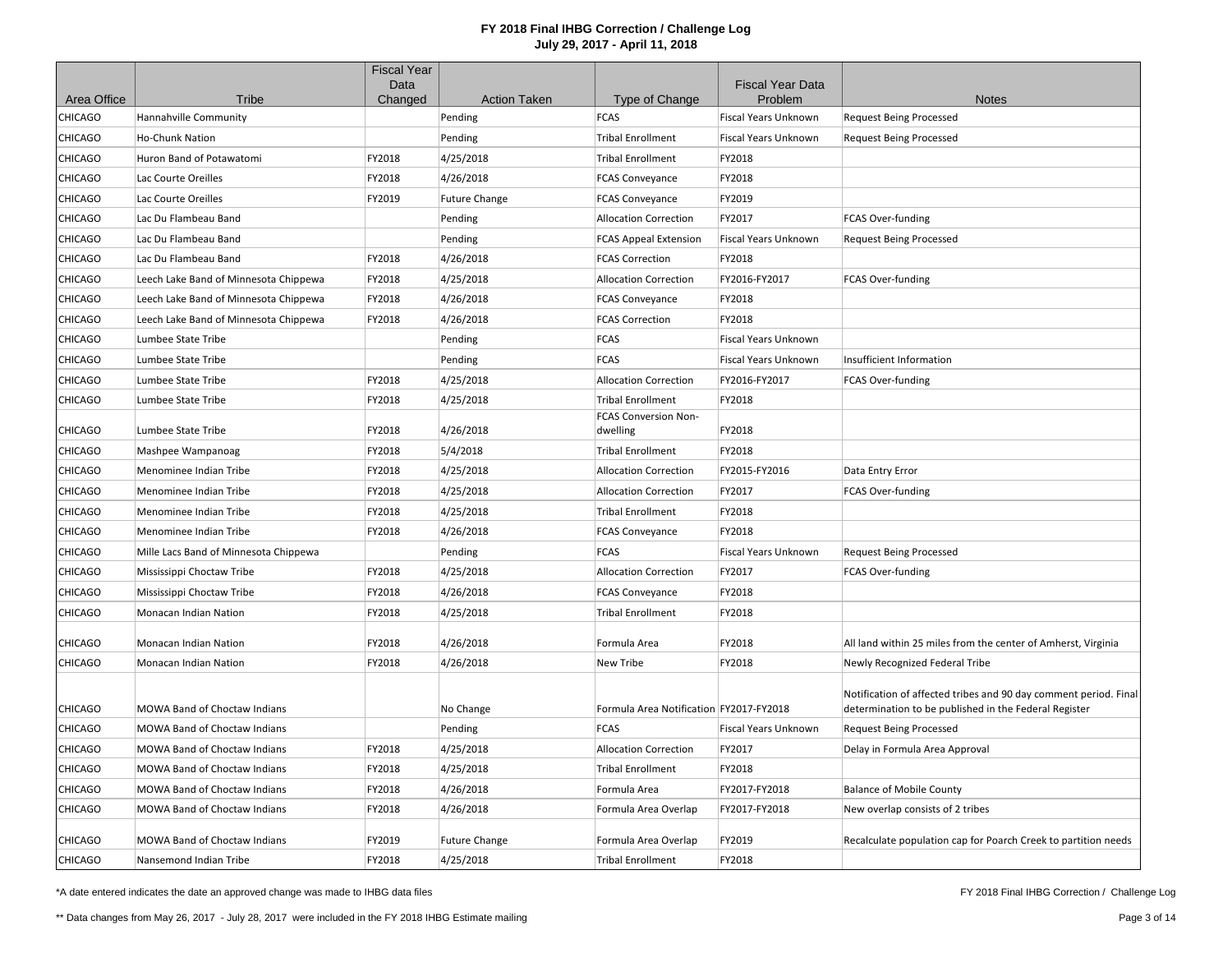|                |                                       | <b>Fiscal Year</b><br>Data |                      |                                         | <b>Fiscal Year Data</b>     |                                                                                                                           |
|----------------|---------------------------------------|----------------------------|----------------------|-----------------------------------------|-----------------------------|---------------------------------------------------------------------------------------------------------------------------|
| Area Office    | Tribe                                 | Changed                    | <b>Action Taken</b>  | Type of Change                          | Problem                     | <b>Notes</b>                                                                                                              |
| CHICAGO        | Hannahville Community                 |                            | Pending              | <b>FCAS</b>                             | Fiscal Years Unknown        | <b>Request Being Processed</b>                                                                                            |
| CHICAGO        | Ho-Chunk Nation                       |                            | Pending              | <b>Tribal Enrollment</b>                | <b>Fiscal Years Unknown</b> | <b>Request Being Processed</b>                                                                                            |
| CHICAGO        | Huron Band of Potawatomi              | FY2018                     | 4/25/2018            | <b>Tribal Enrollment</b>                | FY2018                      |                                                                                                                           |
| <b>CHICAGO</b> | Lac Courte Oreilles                   | FY2018                     | 4/26/2018            | <b>FCAS Conveyance</b>                  | FY2018                      |                                                                                                                           |
| <b>CHICAGO</b> | Lac Courte Oreilles                   | FY2019                     | <b>Future Change</b> | <b>FCAS Conveyance</b>                  | FY2019                      |                                                                                                                           |
| CHICAGO        | Lac Du Flambeau Band                  |                            | Pending              | <b>Allocation Correction</b>            | FY2017                      | FCAS Over-funding                                                                                                         |
| CHICAGO        | Lac Du Flambeau Band                  |                            | Pending              | <b>FCAS Appeal Extension</b>            | Fiscal Years Unknown        | <b>Request Being Processed</b>                                                                                            |
| CHICAGO        | Lac Du Flambeau Band                  | FY2018                     | 4/26/2018            | <b>FCAS Correction</b>                  | FY2018                      |                                                                                                                           |
| CHICAGO        | Leech Lake Band of Minnesota Chippewa | FY2018                     | 4/25/2018            | <b>Allocation Correction</b>            | FY2016-FY2017               | FCAS Over-funding                                                                                                         |
| CHICAGO        | Leech Lake Band of Minnesota Chippewa | FY2018                     | 4/26/2018            | <b>FCAS Conveyance</b>                  | FY2018                      |                                                                                                                           |
| CHICAGO        | Leech Lake Band of Minnesota Chippewa | FY2018                     | 4/26/2018            | <b>FCAS Correction</b>                  | FY2018                      |                                                                                                                           |
| <b>CHICAGO</b> | Lumbee State Tribe                    |                            | Pending              | <b>FCAS</b>                             | <b>Fiscal Years Unknown</b> |                                                                                                                           |
| CHICAGO        | Lumbee State Tribe                    |                            | Pending              | <b>FCAS</b>                             | Fiscal Years Unknown        | Insufficient Information                                                                                                  |
| CHICAGO        | Lumbee State Tribe                    | FY2018                     | 4/25/2018            | <b>Allocation Correction</b>            | FY2016-FY2017               | FCAS Over-funding                                                                                                         |
| CHICAGO        | Lumbee State Tribe                    | FY2018                     | 4/25/2018            | <b>Tribal Enrollment</b>                | FY2018                      |                                                                                                                           |
| <b>CHICAGO</b> | Lumbee State Tribe                    | FY2018                     | 4/26/2018            | FCAS Conversion Non-<br>dwelling        | FY2018                      |                                                                                                                           |
| CHICAGO        | Mashpee Wampanoag                     | FY2018                     | 5/4/2018             | <b>Tribal Enrollment</b>                | FY2018                      |                                                                                                                           |
| CHICAGO        | Menominee Indian Tribe                | FY2018                     | 4/25/2018            | <b>Allocation Correction</b>            | FY2015-FY2016               | Data Entry Error                                                                                                          |
| <b>CHICAGO</b> | Menominee Indian Tribe                | FY2018                     | 4/25/2018            | <b>Allocation Correction</b>            | FY2017                      | FCAS Over-funding                                                                                                         |
| CHICAGO        | Menominee Indian Tribe                | FY2018                     | 4/25/2018            | <b>Tribal Enrollment</b>                | FY2018                      |                                                                                                                           |
| CHICAGO        | Menominee Indian Tribe                | FY2018                     | 4/26/2018            | <b>FCAS Conveyance</b>                  | FY2018                      |                                                                                                                           |
| CHICAGO        | Mille Lacs Band of Minnesota Chippewa |                            | Pending              | <b>FCAS</b>                             | <b>Fiscal Years Unknown</b> | <b>Request Being Processed</b>                                                                                            |
| <b>CHICAGO</b> | Mississippi Choctaw Tribe             | FY2018                     | 4/25/2018            | <b>Allocation Correction</b>            | FY2017                      | FCAS Over-funding                                                                                                         |
| CHICAGO        | Mississippi Choctaw Tribe             | FY2018                     | 4/26/2018            | <b>FCAS Conveyance</b>                  | FY2018                      |                                                                                                                           |
| <b>CHICAGO</b> | Monacan Indian Nation                 | FY2018                     | 4/25/2018            | <b>Tribal Enrollment</b>                | FY2018                      |                                                                                                                           |
| CHICAGO        | Monacan Indian Nation                 | FY2018                     | 4/26/2018            | Formula Area                            | FY2018                      | All land within 25 miles from the center of Amherst, Virginia                                                             |
| <b>CHICAGO</b> | Monacan Indian Nation                 | FY2018                     | 4/26/2018            | New Tribe                               | FY2018                      | Newly Recognized Federal Tribe                                                                                            |
| CHICAGO        | <b>MOWA Band of Choctaw Indians</b>   |                            | No Change            | Formula Area Notification FY2017-FY2018 |                             | Notification of affected tribes and 90 day comment period. Final<br>determination to be published in the Federal Register |
| <b>CHICAGO</b> | MOWA Band of Choctaw Indians          |                            | Pending              | <b>FCAS</b>                             | Fiscal Years Unknown        | <b>Request Being Processed</b>                                                                                            |
| CHICAGO        | <b>MOWA Band of Choctaw Indians</b>   | FY2018                     | 4/25/2018            | <b>Allocation Correction</b>            | FY2017                      | Delay in Formula Area Approval                                                                                            |
| CHICAGO        | MOWA Band of Choctaw Indians          | FY2018                     | 4/25/2018            | <b>Tribal Enrollment</b>                | FY2018                      |                                                                                                                           |
| CHICAGO        | MOWA Band of Choctaw Indians          | FY2018                     | 4/26/2018            | Formula Area                            | FY2017-FY2018               | <b>Balance of Mobile County</b>                                                                                           |
| <b>CHICAGO</b> | MOWA Band of Choctaw Indians          | FY2018                     | 4/26/2018            | Formula Area Overlap                    | FY2017-FY2018               | New overlap consists of 2 tribes                                                                                          |
| <b>CHICAGO</b> | MOWA Band of Choctaw Indians          | FY2019                     | <b>Future Change</b> | Formula Area Overlap                    | FY2019                      | Recalculate population cap for Poarch Creek to partition needs                                                            |
| <b>CHICAGO</b> | Nansemond Indian Tribe                | FY2018                     | 4/25/2018            | <b>Tribal Enrollment</b>                | FY2018                      |                                                                                                                           |

\*A date entered indicates the date an approved change was made to IHBG data files

FY 2018 Final IHBG Correction / Challenge Log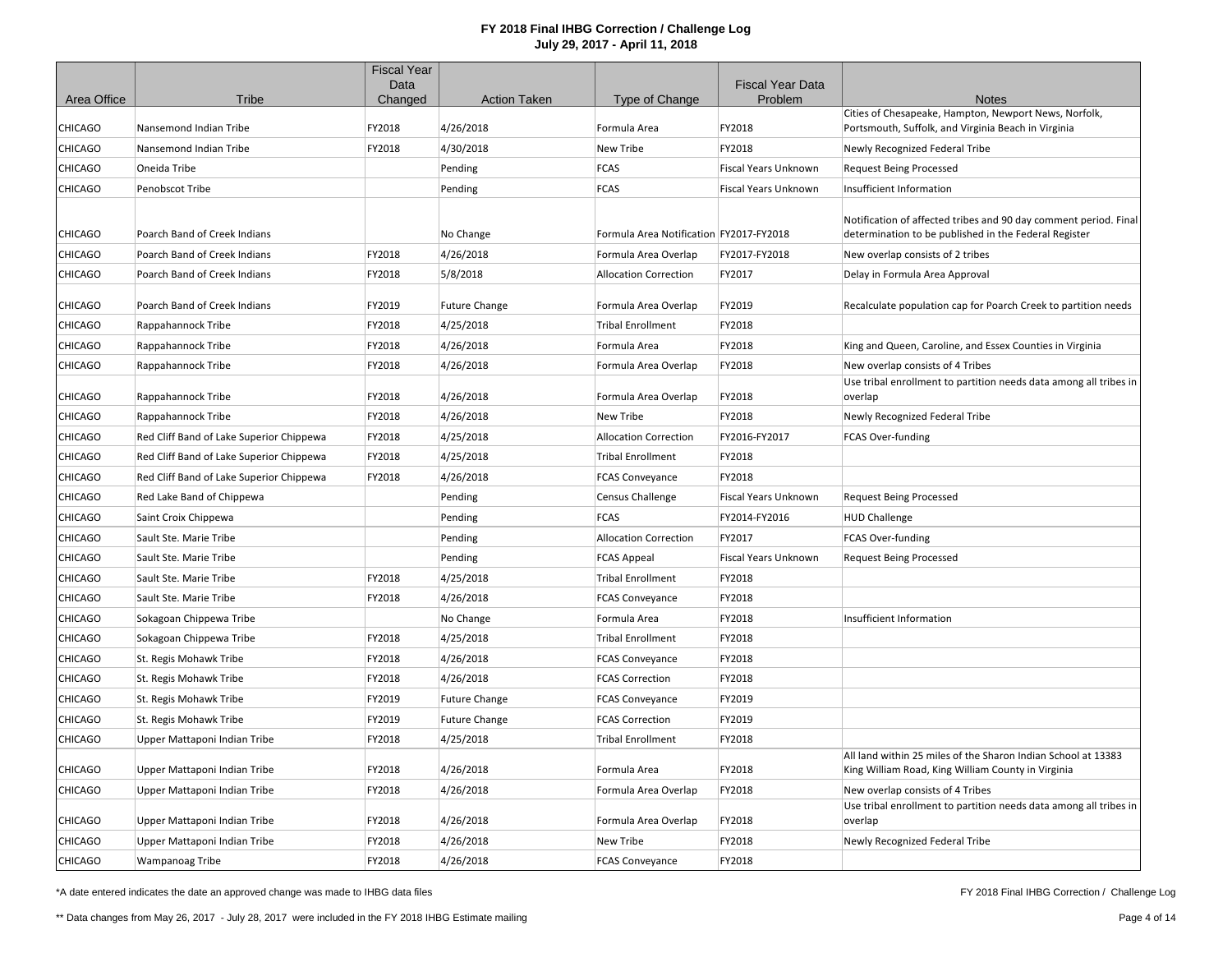|                |                                          | <b>Fiscal Year</b><br>Data |                      |                                         | <b>Fiscal Year Data</b>     |                                                                                                                           |
|----------------|------------------------------------------|----------------------------|----------------------|-----------------------------------------|-----------------------------|---------------------------------------------------------------------------------------------------------------------------|
| Area Office    | Tribe                                    | Changed                    | <b>Action Taken</b>  | Type of Change                          | Problem                     | <b>Notes</b>                                                                                                              |
|                |                                          |                            |                      |                                         |                             | Cities of Chesapeake, Hampton, Newport News, Norfolk,                                                                     |
| <b>CHICAGO</b> | Nansemond Indian Tribe                   | FY2018                     | 4/26/2018            | Formula Area                            | FY2018                      | Portsmouth, Suffolk, and Virginia Beach in Virginia                                                                       |
| <b>CHICAGO</b> | Nansemond Indian Tribe                   | FY2018                     | 4/30/2018            | New Tribe                               | FY2018                      | Newly Recognized Federal Tribe                                                                                            |
| <b>CHICAGO</b> | Oneida Tribe                             |                            | Pending              | <b>FCAS</b>                             | <b>Fiscal Years Unknown</b> | <b>Request Being Processed</b>                                                                                            |
| <b>CHICAGO</b> | Penobscot Tribe                          |                            | Pending              | FCAS                                    | <b>Fiscal Years Unknown</b> | Insufficient Information                                                                                                  |
| <b>CHICAGO</b> | Poarch Band of Creek Indians             |                            | No Change            | Formula Area Notification FY2017-FY2018 |                             | Notification of affected tribes and 90 day comment period. Final<br>determination to be published in the Federal Register |
| <b>CHICAGO</b> | Poarch Band of Creek Indians             | FY2018                     | 4/26/2018            | Formula Area Overlap                    | FY2017-FY2018               | New overlap consists of 2 tribes                                                                                          |
| <b>CHICAGO</b> | Poarch Band of Creek Indians             | FY2018                     | 5/8/2018             | <b>Allocation Correction</b>            | FY2017                      | Delay in Formula Area Approval                                                                                            |
|                |                                          |                            |                      |                                         |                             |                                                                                                                           |
| CHICAGO        | Poarch Band of Creek Indians             | FY2019                     | <b>Future Change</b> | Formula Area Overlap                    | FY2019                      | Recalculate population cap for Poarch Creek to partition needs                                                            |
| <b>CHICAGO</b> | Rappahannock Tribe                       | FY2018                     | 4/25/2018            | <b>Tribal Enrollment</b>                | FY2018                      |                                                                                                                           |
| <b>CHICAGO</b> | Rappahannock Tribe                       | FY2018                     | 4/26/2018            | Formula Area                            | FY2018                      | King and Queen, Caroline, and Essex Counties in Virginia                                                                  |
| <b>CHICAGO</b> | Rappahannock Tribe                       | FY2018                     | 4/26/2018            | Formula Area Overlap                    | FY2018                      | New overlap consists of 4 Tribes                                                                                          |
| <b>CHICAGO</b> | Rappahannock Tribe                       | FY2018                     | 4/26/2018            | Formula Area Overlap                    | FY2018                      | Use tribal enrollment to partition needs data among all tribes in<br>overlap                                              |
| <b>CHICAGO</b> | Rappahannock Tribe                       | FY2018                     | 4/26/2018            | New Tribe                               | FY2018                      | Newly Recognized Federal Tribe                                                                                            |
| <b>CHICAGO</b> | Red Cliff Band of Lake Superior Chippewa | FY2018                     | 4/25/2018            | <b>Allocation Correction</b>            | FY2016-FY2017               | FCAS Over-funding                                                                                                         |
| <b>CHICAGO</b> | Red Cliff Band of Lake Superior Chippewa | FY2018                     | 4/25/2018            | <b>Tribal Enrollment</b>                | FY2018                      |                                                                                                                           |
| <b>CHICAGO</b> | Red Cliff Band of Lake Superior Chippewa | FY2018                     | 4/26/2018            | <b>FCAS Conveyance</b>                  | FY2018                      |                                                                                                                           |
| <b>CHICAGO</b> | Red Lake Band of Chippewa                |                            | Pending              | <b>Census Challenge</b>                 | <b>Fiscal Years Unknown</b> | <b>Request Being Processed</b>                                                                                            |
| <b>CHICAGO</b> | Saint Croix Chippewa                     |                            | Pending              | <b>FCAS</b>                             | FY2014-FY2016               | <b>HUD Challenge</b>                                                                                                      |
| <b>CHICAGO</b> | Sault Ste. Marie Tribe                   |                            | Pending              | <b>Allocation Correction</b>            | FY2017                      | FCAS Over-funding                                                                                                         |
| <b>CHICAGO</b> | Sault Ste. Marie Tribe                   |                            | Pending              | <b>FCAS Appeal</b>                      | Fiscal Years Unknown        | <b>Request Being Processed</b>                                                                                            |
| <b>CHICAGO</b> | Sault Ste. Marie Tribe                   | FY2018                     | 4/25/2018            | <b>Tribal Enrollment</b>                | FY2018                      |                                                                                                                           |
| <b>CHICAGO</b> | Sault Ste. Marie Tribe                   | FY2018                     | 4/26/2018            | <b>FCAS Conveyance</b>                  | FY2018                      |                                                                                                                           |
| <b>CHICAGO</b> | Sokagoan Chippewa Tribe                  |                            | No Change            | Formula Area                            | FY2018                      | Insufficient Information                                                                                                  |
| <b>CHICAGO</b> | Sokagoan Chippewa Tribe                  | FY2018                     | 4/25/2018            | <b>Tribal Enrollment</b>                | FY2018                      |                                                                                                                           |
| <b>CHICAGO</b> | St. Regis Mohawk Tribe                   | FY2018                     | 4/26/2018            | <b>FCAS Conveyance</b>                  | FY2018                      |                                                                                                                           |
| <b>CHICAGO</b> | St. Regis Mohawk Tribe                   | FY2018                     | 4/26/2018            | <b>FCAS Correction</b>                  | FY2018                      |                                                                                                                           |
| <b>CHICAGO</b> | St. Regis Mohawk Tribe                   | FY2019                     | <b>Future Change</b> | <b>FCAS Conveyance</b>                  | FY2019                      |                                                                                                                           |
| <b>CHICAGO</b> | St. Regis Mohawk Tribe                   | FY2019                     | <b>Future Change</b> | <b>FCAS Correction</b>                  | FY2019                      |                                                                                                                           |
| <b>CHICAGO</b> | Upper Mattaponi Indian Tribe             | FY2018                     | 4/25/2018            | <b>Tribal Enrollment</b>                | FY2018                      |                                                                                                                           |
| <b>CHICAGO</b> | Upper Mattaponi Indian Tribe             | FY2018                     | 4/26/2018            | Formula Area                            | FY2018                      | All land within 25 miles of the Sharon Indian School at 13383<br>King William Road, King William County in Virginia       |
| <b>CHICAGO</b> | Upper Mattaponi Indian Tribe             | FY2018                     | 4/26/2018            | Formula Area Overlap                    | FY2018                      | New overlap consists of 4 Tribes                                                                                          |
| <b>CHICAGO</b> | Upper Mattaponi Indian Tribe             | FY2018                     | 4/26/2018            | Formula Area Overlap                    | FY2018                      | Use tribal enrollment to partition needs data among all tribes in<br>overlap                                              |
| <b>CHICAGO</b> | Upper Mattaponi Indian Tribe             | FY2018                     | 4/26/2018            | <b>New Tribe</b>                        | FY2018                      | Newly Recognized Federal Tribe                                                                                            |
| <b>CHICAGO</b> | Wampanoag Tribe                          | FY2018                     | 4/26/2018            | <b>FCAS Conveyance</b>                  | FY2018                      |                                                                                                                           |

\*A date entered indicates the date an approved change was made to IHBG data files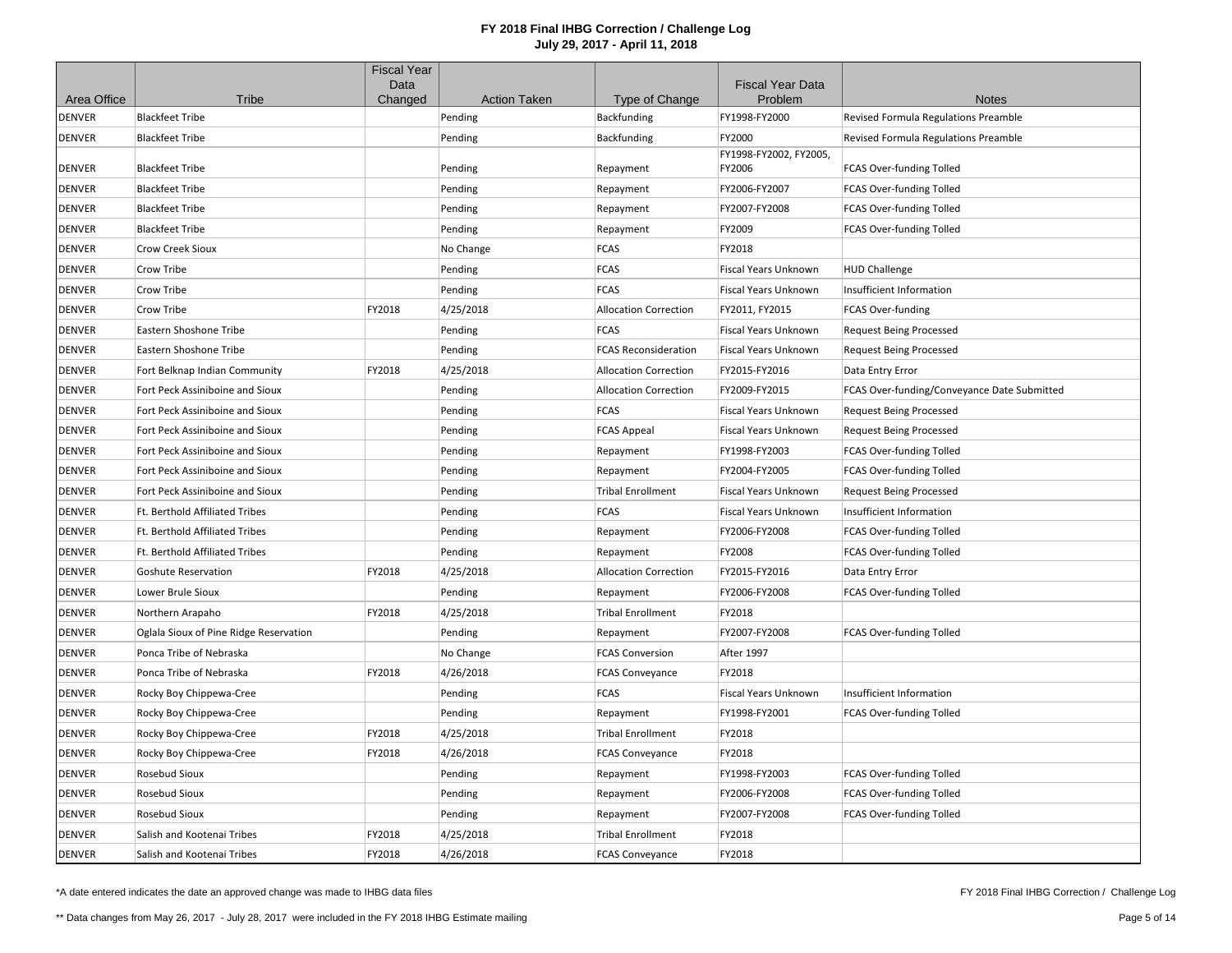|               |                                        | <b>Fiscal Year</b> |                     |                              |                                    |                                             |
|---------------|----------------------------------------|--------------------|---------------------|------------------------------|------------------------------------|---------------------------------------------|
| Area Office   | Tribe                                  | Data<br>Changed    | <b>Action Taken</b> | Type of Change               | <b>Fiscal Year Data</b><br>Problem | <b>Notes</b>                                |
| DENVER        | <b>Blackfeet Tribe</b>                 |                    | Pending             | Backfunding                  | FY1998-FY2000                      | Revised Formula Regulations Preamble        |
| DENVER        | <b>Blackfeet Tribe</b>                 |                    | Pending             | Backfunding                  | FY2000                             | Revised Formula Regulations Preamble        |
|               |                                        |                    |                     |                              | FY1998-FY2002, FY2005,             |                                             |
| DENVER        | <b>Blackfeet Tribe</b>                 |                    | Pending             | Repayment                    | FY2006                             | FCAS Over-funding Tolled                    |
| DENVER        | <b>Blackfeet Tribe</b>                 |                    | Pending             | Repayment                    | FY2006-FY2007                      | FCAS Over-funding Tolled                    |
| DENVER        | <b>Blackfeet Tribe</b>                 |                    | Pending             | Repayment                    | FY2007-FY2008                      | FCAS Over-funding Tolled                    |
| DENVER        | <b>Blackfeet Tribe</b>                 |                    | Pending             | Repayment                    | FY2009                             | <b>FCAS Over-funding Tolled</b>             |
| DENVER        | Crow Creek Sioux                       |                    | No Change           | <b>FCAS</b>                  | FY2018                             |                                             |
| DENVER        | Crow Tribe                             |                    | Pending             | <b>FCAS</b>                  | <b>Fiscal Years Unknown</b>        | <b>HUD Challenge</b>                        |
| DENVER        | Crow Tribe                             |                    | Pending             | <b>FCAS</b>                  | Fiscal Years Unknown               | Insufficient Information                    |
| DENVER        | Crow Tribe                             | FY2018             | 4/25/2018           | <b>Allocation Correction</b> | FY2011, FY2015                     | <b>FCAS Over-funding</b>                    |
| DENVER        | Eastern Shoshone Tribe                 |                    | Pending             | <b>FCAS</b>                  | Fiscal Years Unknown               | <b>Request Being Processed</b>              |
| DENVER        | Eastern Shoshone Tribe                 |                    | Pending             | <b>FCAS Reconsideration</b>  | <b>Fiscal Years Unknown</b>        | <b>Request Being Processed</b>              |
| DENVER        | Fort Belknap Indian Community          | FY2018             | 4/25/2018           | <b>Allocation Correction</b> | FY2015-FY2016                      | Data Entry Error                            |
| <b>DENVER</b> | Fort Peck Assiniboine and Sioux        |                    | Pending             | <b>Allocation Correction</b> | FY2009-FY2015                      | FCAS Over-funding/Conveyance Date Submitted |
| DENVER        | Fort Peck Assiniboine and Sioux        |                    | Pending             | <b>FCAS</b>                  | <b>Fiscal Years Unknown</b>        | <b>Request Being Processed</b>              |
| DENVER        | Fort Peck Assiniboine and Sioux        |                    | Pending             | <b>FCAS Appeal</b>           | Fiscal Years Unknown               | <b>Request Being Processed</b>              |
| DENVER        | Fort Peck Assiniboine and Sioux        |                    | Pending             | Repayment                    | FY1998-FY2003                      | FCAS Over-funding Tolled                    |
| DENVER        | Fort Peck Assiniboine and Sioux        |                    | Pending             | Repayment                    | FY2004-FY2005                      | FCAS Over-funding Tolled                    |
| DENVER        | Fort Peck Assiniboine and Sioux        |                    | Pending             | <b>Tribal Enrollment</b>     | Fiscal Years Unknown               | <b>Request Being Processed</b>              |
| DENVER        | Ft. Berthold Affiliated Tribes         |                    | Pending             | <b>FCAS</b>                  | Fiscal Years Unknown               | Insufficient Information                    |
| DENVER        | Ft. Berthold Affiliated Tribes         |                    | Pending             | Repayment                    | FY2006-FY2008                      | FCAS Over-funding Tolled                    |
| <b>DENVER</b> | Ft. Berthold Affiliated Tribes         |                    | Pending             | Repayment                    | FY2008                             | FCAS Over-funding Tolled                    |
| DENVER        | Goshute Reservation                    | FY2018             | 4/25/2018           | <b>Allocation Correction</b> | FY2015-FY2016                      | Data Entry Error                            |
| DENVER        | Lower Brule Sioux                      |                    | Pending             | Repayment                    | FY2006-FY2008                      | FCAS Over-funding Tolled                    |
| DENVER        | Northern Arapaho                       | FY2018             | 4/25/2018           | <b>Tribal Enrollment</b>     | FY2018                             |                                             |
| DENVER        | Oglala Sioux of Pine Ridge Reservation |                    | Pending             | Repayment                    | FY2007-FY2008                      | FCAS Over-funding Tolled                    |
| DENVER        | Ponca Tribe of Nebraska                |                    | No Change           | <b>FCAS Conversion</b>       | After 1997                         |                                             |
| DENVER        | Ponca Tribe of Nebraska                | FY2018             | 4/26/2018           | <b>FCAS Conveyance</b>       | FY2018                             |                                             |
| DENVER        | Rocky Boy Chippewa-Cree                |                    | Pending             | <b>FCAS</b>                  | <b>Fiscal Years Unknown</b>        | Insufficient Information                    |
| DENVER        | Rocky Boy Chippewa-Cree                |                    | Pending             | Repayment                    | FY1998-FY2001                      | <b>FCAS Over-funding Tolled</b>             |
| <b>DENVER</b> | Rocky Boy Chippewa-Cree                | FY2018             | 4/25/2018           | <b>Tribal Enrollment</b>     | FY2018                             |                                             |
| <b>DENVER</b> | Rocky Boy Chippewa-Cree                | FY2018             | 4/26/2018           | <b>FCAS Conveyance</b>       | FY2018                             |                                             |
| DENVER        | Rosebud Sioux                          |                    | Pending             | Repayment                    | FY1998-FY2003                      | FCAS Over-funding Tolled                    |
| DENVER        | <b>Rosebud Sioux</b>                   |                    | Pending             | Repayment                    | FY2006-FY2008                      | FCAS Over-funding Tolled                    |
| DENVER        | Rosebud Sioux                          |                    | Pending             | Repayment                    | FY2007-FY2008                      | FCAS Over-funding Tolled                    |
| DENVER        | Salish and Kootenai Tribes             | FY2018             | 4/25/2018           | <b>Tribal Enrollment</b>     | FY2018                             |                                             |
| <b>DENVER</b> | Salish and Kootenai Tribes             | FY2018             | 4/26/2018           | <b>FCAS Conveyance</b>       | FY2018                             |                                             |

\*A date entered indicates the date an approved change was made to IHBG data files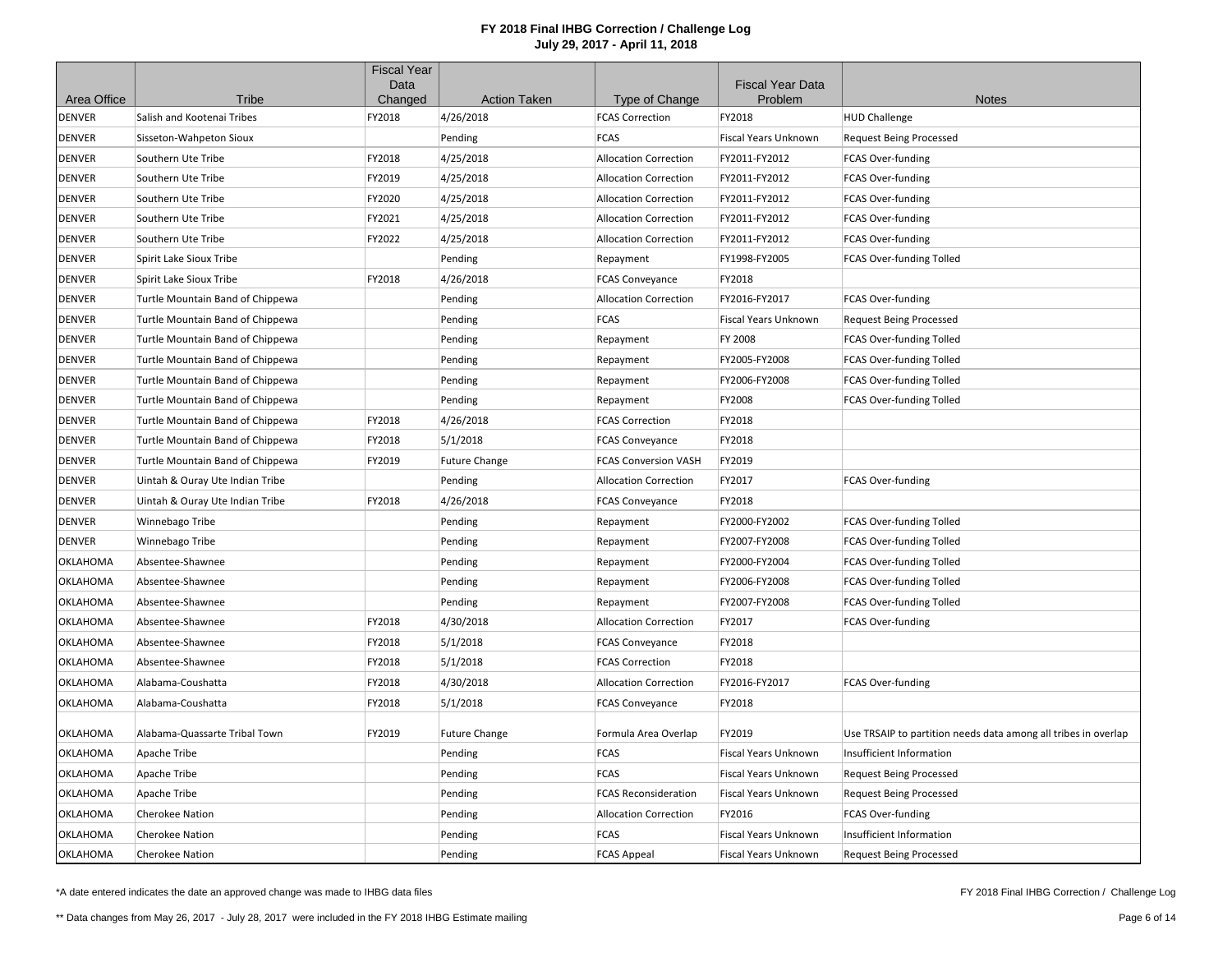|               |                                  | <b>Fiscal Year</b><br>Data |                      |                              | <b>Fiscal Year Data</b>     |                                                                |
|---------------|----------------------------------|----------------------------|----------------------|------------------------------|-----------------------------|----------------------------------------------------------------|
| Area Office   | Tribe                            | Changed                    | <b>Action Taken</b>  | Type of Change               | Problem                     | <b>Notes</b>                                                   |
| <b>DENVER</b> | Salish and Kootenai Tribes       | FY2018                     | 4/26/2018            | <b>FCAS Correction</b>       | FY2018                      | <b>HUD Challenge</b>                                           |
| DENVER        | Sisseton-Wahpeton Sioux          |                            | Pending              | <b>FCAS</b>                  | Fiscal Years Unknown        | <b>Request Being Processed</b>                                 |
| <b>DENVER</b> | Southern Ute Tribe               | FY2018                     | 4/25/2018            | <b>Allocation Correction</b> | FY2011-FY2012               | <b>FCAS Over-funding</b>                                       |
| <b>DENVER</b> | Southern Ute Tribe               | FY2019                     | 4/25/2018            | <b>Allocation Correction</b> | FY2011-FY2012               | FCAS Over-funding                                              |
| <b>DENVER</b> | Southern Ute Tribe               | FY2020                     | 4/25/2018            | <b>Allocation Correction</b> | FY2011-FY2012               | FCAS Over-funding                                              |
| <b>DENVER</b> | Southern Ute Tribe               | FY2021                     | 4/25/2018            | <b>Allocation Correction</b> | FY2011-FY2012               | FCAS Over-funding                                              |
| DENVER        | Southern Ute Tribe               | FY2022                     | 4/25/2018            | <b>Allocation Correction</b> | FY2011-FY2012               | FCAS Over-funding                                              |
| DENVER        | Spirit Lake Sioux Tribe          |                            | Pending              | Repayment                    | FY1998-FY2005               | FCAS Over-funding Tolled                                       |
| DENVER        | Spirit Lake Sioux Tribe          | FY2018                     | 4/26/2018            | <b>FCAS Conveyance</b>       | FY2018                      |                                                                |
| <b>DENVER</b> | Turtle Mountain Band of Chippewa |                            | Pending              | <b>Allocation Correction</b> | FY2016-FY2017               | FCAS Over-funding                                              |
| DENVER        | Turtle Mountain Band of Chippewa |                            | Pending              | <b>FCAS</b>                  | Fiscal Years Unknown        | <b>Request Being Processed</b>                                 |
| <b>DENVER</b> | Turtle Mountain Band of Chippewa |                            | Pending              | Repayment                    | FY 2008                     | FCAS Over-funding Tolled                                       |
| <b>DENVER</b> | Turtle Mountain Band of Chippewa |                            | Pending              | Repayment                    | FY2005-FY2008               | FCAS Over-funding Tolled                                       |
| <b>DENVER</b> | Turtle Mountain Band of Chippewa |                            | Pending              | Repayment                    | FY2006-FY2008               | FCAS Over-funding Tolled                                       |
| DENVER        | Turtle Mountain Band of Chippewa |                            | Pending              | Repayment                    | FY2008                      | FCAS Over-funding Tolled                                       |
| DENVER        | Turtle Mountain Band of Chippewa | FY2018                     | 4/26/2018            | <b>FCAS Correction</b>       | FY2018                      |                                                                |
| DENVER        | Turtle Mountain Band of Chippewa | FY2018                     | 5/1/2018             | <b>FCAS Conveyance</b>       | FY2018                      |                                                                |
| <b>DENVER</b> | Turtle Mountain Band of Chippewa | FY2019                     | <b>Future Change</b> | <b>FCAS Conversion VASH</b>  | FY2019                      |                                                                |
| <b>DENVER</b> | Uintah & Ouray Ute Indian Tribe  |                            | Pending              | <b>Allocation Correction</b> | FY2017                      | FCAS Over-funding                                              |
| DENVER        | Uintah & Ouray Ute Indian Tribe  | FY2018                     | 4/26/2018            | <b>FCAS Conveyance</b>       | FY2018                      |                                                                |
| <b>DENVER</b> | Winnebago Tribe                  |                            | Pending              | Repayment                    | FY2000-FY2002               | FCAS Over-funding Tolled                                       |
| <b>DENVER</b> | Winnebago Tribe                  |                            | Pending              | Repayment                    | FY2007-FY2008               | FCAS Over-funding Tolled                                       |
| OKLAHOMA      | Absentee-Shawnee                 |                            | Pending              | Repayment                    | FY2000-FY2004               | FCAS Over-funding Tolled                                       |
| OKLAHOMA      | Absentee-Shawnee                 |                            | Pending              | Repayment                    | FY2006-FY2008               | FCAS Over-funding Tolled                                       |
| OKLAHOMA      | Absentee-Shawnee                 |                            | Pending              | Repayment                    | FY2007-FY2008               | FCAS Over-funding Tolled                                       |
| OKLAHOMA      | Absentee-Shawnee                 | FY2018                     | 4/30/2018            | <b>Allocation Correction</b> | FY2017                      | <b>FCAS Over-funding</b>                                       |
| OKLAHOMA      | Absentee-Shawnee                 | FY2018                     | 5/1/2018             | <b>FCAS Conveyance</b>       | FY2018                      |                                                                |
| OKLAHOMA      | Absentee-Shawnee                 | FY2018                     | 5/1/2018             | <b>FCAS Correction</b>       | FY2018                      |                                                                |
| OKLAHOMA      | Alabama-Coushatta                | FY2018                     | 4/30/2018            | <b>Allocation Correction</b> | FY2016-FY2017               | FCAS Over-funding                                              |
| OKLAHOMA      | Alabama-Coushatta                | FY2018                     | 5/1/2018             | <b>FCAS Conveyance</b>       | FY2018                      |                                                                |
| OKLAHOMA      | Alabama-Quassarte Tribal Town    | FY2019                     | <b>Future Change</b> | Formula Area Overlap         | FY2019                      | Use TRSAIP to partition needs data among all tribes in overlap |
| OKLAHOMA      | Apache Tribe                     |                            | Pending              | <b>FCAS</b>                  | <b>Fiscal Years Unknown</b> | Insufficient Information                                       |
| OKLAHOMA      | Apache Tribe                     |                            | Pending              | <b>FCAS</b>                  | <b>Fiscal Years Unknown</b> | <b>Request Being Processed</b>                                 |
| OKLAHOMA      | Apache Tribe                     |                            | Pending              | <b>FCAS Reconsideration</b>  | Fiscal Years Unknown        | <b>Request Being Processed</b>                                 |
| OKLAHOMA      | <b>Cherokee Nation</b>           |                            | Pending              | <b>Allocation Correction</b> | FY2016                      | FCAS Over-funding                                              |
| OKLAHOMA      | <b>Cherokee Nation</b>           |                            | Pending              | <b>FCAS</b>                  | <b>Fiscal Years Unknown</b> | Insufficient Information                                       |
| OKLAHOMA      | <b>Cherokee Nation</b>           |                            | Pending              | <b>FCAS Appeal</b>           | <b>Fiscal Years Unknown</b> | <b>Request Being Processed</b>                                 |

\*A date entered indicates the date an approved change was made to IHBG data files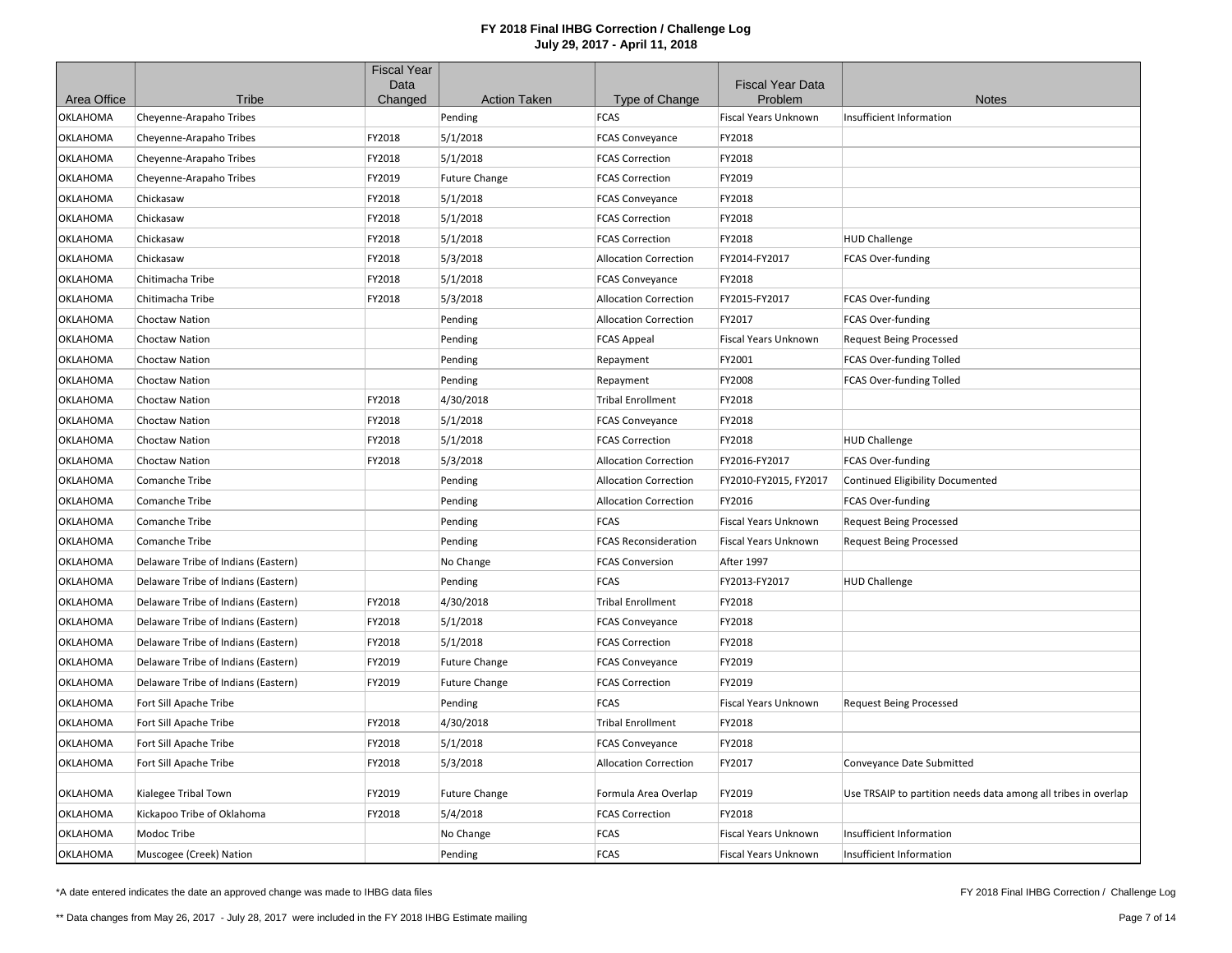|                 |                                     | <b>Fiscal Year</b><br>Data |                      |                              | <b>Fiscal Year Data</b>     |                                                                |
|-----------------|-------------------------------------|----------------------------|----------------------|------------------------------|-----------------------------|----------------------------------------------------------------|
| Area Office     | Tribe                               | Changed                    | <b>Action Taken</b>  | Type of Change               | Problem                     | <b>Notes</b>                                                   |
| OKLAHOMA        | Cheyenne-Arapaho Tribes             |                            | Pending              | <b>FCAS</b>                  | Fiscal Years Unknown        | Insufficient Information                                       |
| <b>OKLAHOMA</b> | Cheyenne-Arapaho Tribes             | FY2018                     | 5/1/2018             | <b>FCAS Conveyance</b>       | FY2018                      |                                                                |
| OKLAHOMA        | Cheyenne-Arapaho Tribes             | FY2018                     | 5/1/2018             | <b>FCAS Correction</b>       | FY2018                      |                                                                |
| OKLAHOMA        | Cheyenne-Arapaho Tribes             | FY2019                     | <b>Future Change</b> | <b>FCAS Correction</b>       | FY2019                      |                                                                |
| OKLAHOMA        | Chickasaw                           | FY2018                     | 5/1/2018             | <b>FCAS Conveyance</b>       | FY2018                      |                                                                |
| OKLAHOMA        | Chickasaw                           | FY2018                     | 5/1/2018             | <b>FCAS Correction</b>       | FY2018                      |                                                                |
| <b>OKLAHOMA</b> | Chickasaw                           | FY2018                     | 5/1/2018             | <b>FCAS Correction</b>       | FY2018                      | <b>HUD Challenge</b>                                           |
| <b>OKLAHOMA</b> | Chickasaw                           | FY2018                     | 5/3/2018             | <b>Allocation Correction</b> | FY2014-FY2017               | FCAS Over-funding                                              |
| OKLAHOMA        | Chitimacha Tribe                    | FY2018                     | 5/1/2018             | <b>FCAS Conveyance</b>       | FY2018                      |                                                                |
| OKLAHOMA        | Chitimacha Tribe                    | FY2018                     | 5/3/2018             | <b>Allocation Correction</b> | FY2015-FY2017               | FCAS Over-funding                                              |
| OKLAHOMA        | Choctaw Nation                      |                            | Pending              | <b>Allocation Correction</b> | FY2017                      | FCAS Over-funding                                              |
| OKLAHOMA        | <b>Choctaw Nation</b>               |                            | Pending              | <b>FCAS Appeal</b>           | <b>Fiscal Years Unknown</b> | <b>Request Being Processed</b>                                 |
| OKLAHOMA        | Choctaw Nation                      |                            | Pending              | Repayment                    | FY2001                      | FCAS Over-funding Tolled                                       |
| OKLAHOMA        | <b>Choctaw Nation</b>               |                            | Pending              | Repayment                    | FY2008                      | FCAS Over-funding Tolled                                       |
| <b>OKLAHOMA</b> | <b>Choctaw Nation</b>               | FY2018                     | 4/30/2018            | <b>Tribal Enrollment</b>     | FY2018                      |                                                                |
| OKLAHOMA        | <b>Choctaw Nation</b>               | FY2018                     | 5/1/2018             | <b>FCAS Conveyance</b>       | FY2018                      |                                                                |
| OKLAHOMA        | Choctaw Nation                      | FY2018                     | 5/1/2018             | <b>FCAS Correction</b>       | FY2018                      | <b>HUD Challenge</b>                                           |
| OKLAHOMA        | Choctaw Nation                      | FY2018                     | 5/3/2018             | <b>Allocation Correction</b> | FY2016-FY2017               | FCAS Over-funding                                              |
| <b>OKLAHOMA</b> | Comanche Tribe                      |                            | Pending              | <b>Allocation Correction</b> | FY2010-FY2015, FY2017       | Continued Eligibility Documented                               |
| <b>OKLAHOMA</b> | <b>Comanche Tribe</b>               |                            | Pending              | <b>Allocation Correction</b> | FY2016                      | FCAS Over-funding                                              |
| OKLAHOMA        | <b>Comanche Tribe</b>               |                            | Pending              | <b>FCAS</b>                  | <b>Fiscal Years Unknown</b> | <b>Request Being Processed</b>                                 |
| OKLAHOMA        | Comanche Tribe                      |                            | Pending              | <b>FCAS Reconsideration</b>  | Fiscal Years Unknown        | <b>Request Being Processed</b>                                 |
| OKLAHOMA        | Delaware Tribe of Indians (Eastern) |                            | No Change            | <b>FCAS Conversion</b>       | After 1997                  |                                                                |
| <b>OKLAHOMA</b> | Delaware Tribe of Indians (Eastern) |                            | Pending              | <b>FCAS</b>                  | FY2013-FY2017               | <b>HUD Challenge</b>                                           |
| OKLAHOMA        | Delaware Tribe of Indians (Eastern) | FY2018                     | 4/30/2018            | <b>Tribal Enrollment</b>     | FY2018                      |                                                                |
| OKLAHOMA        | Delaware Tribe of Indians (Eastern) | FY2018                     | 5/1/2018             | <b>FCAS Conveyance</b>       | FY2018                      |                                                                |
| OKLAHOMA        | Delaware Tribe of Indians (Eastern) | FY2018                     | 5/1/2018             | <b>FCAS Correction</b>       | FY2018                      |                                                                |
| <b>OKLAHOMA</b> | Delaware Tribe of Indians (Eastern) | FY2019                     | <b>Future Change</b> | <b>FCAS Conveyance</b>       | FY2019                      |                                                                |
| <b>OKLAHOMA</b> | Delaware Tribe of Indians (Eastern) | FY2019                     | <b>Future Change</b> | <b>FCAS Correction</b>       | FY2019                      |                                                                |
| <b>OKLAHOMA</b> | Fort Sill Apache Tribe              |                            | Pending              | <b>FCAS</b>                  | <b>Fiscal Years Unknown</b> | <b>Request Being Processed</b>                                 |
| OKLAHOMA        | Fort Sill Apache Tribe              | FY2018                     | 4/30/2018            | <b>Tribal Enrollment</b>     | FY2018                      |                                                                |
| OKLAHOMA        | Fort Sill Apache Tribe              | FY2018                     | 5/1/2018             | <b>FCAS Conveyance</b>       | FY2018                      |                                                                |
| OKLAHOMA        | Fort Sill Apache Tribe              | FY2018                     | 5/3/2018             | <b>Allocation Correction</b> | FY2017                      | Conveyance Date Submitted                                      |
| OKLAHOMA        | Kialegee Tribal Town                | FY2019                     | <b>Future Change</b> | Formula Area Overlap         | FY2019                      | Use TRSAIP to partition needs data among all tribes in overlap |
| <b>OKLAHOMA</b> | Kickapoo Tribe of Oklahoma          | FY2018                     | 5/4/2018             | <b>FCAS Correction</b>       | FY2018                      |                                                                |
| OKLAHOMA        | Modoc Tribe                         |                            | No Change            | <b>FCAS</b>                  | Fiscal Years Unknown        | Insufficient Information                                       |
| <b>OKLAHOMA</b> | Muscogee (Creek) Nation             |                            | Pending              | <b>FCAS</b>                  | Fiscal Years Unknown        | Insufficient Information                                       |

\*A date entered indicates the date an approved change was made to IHBG data files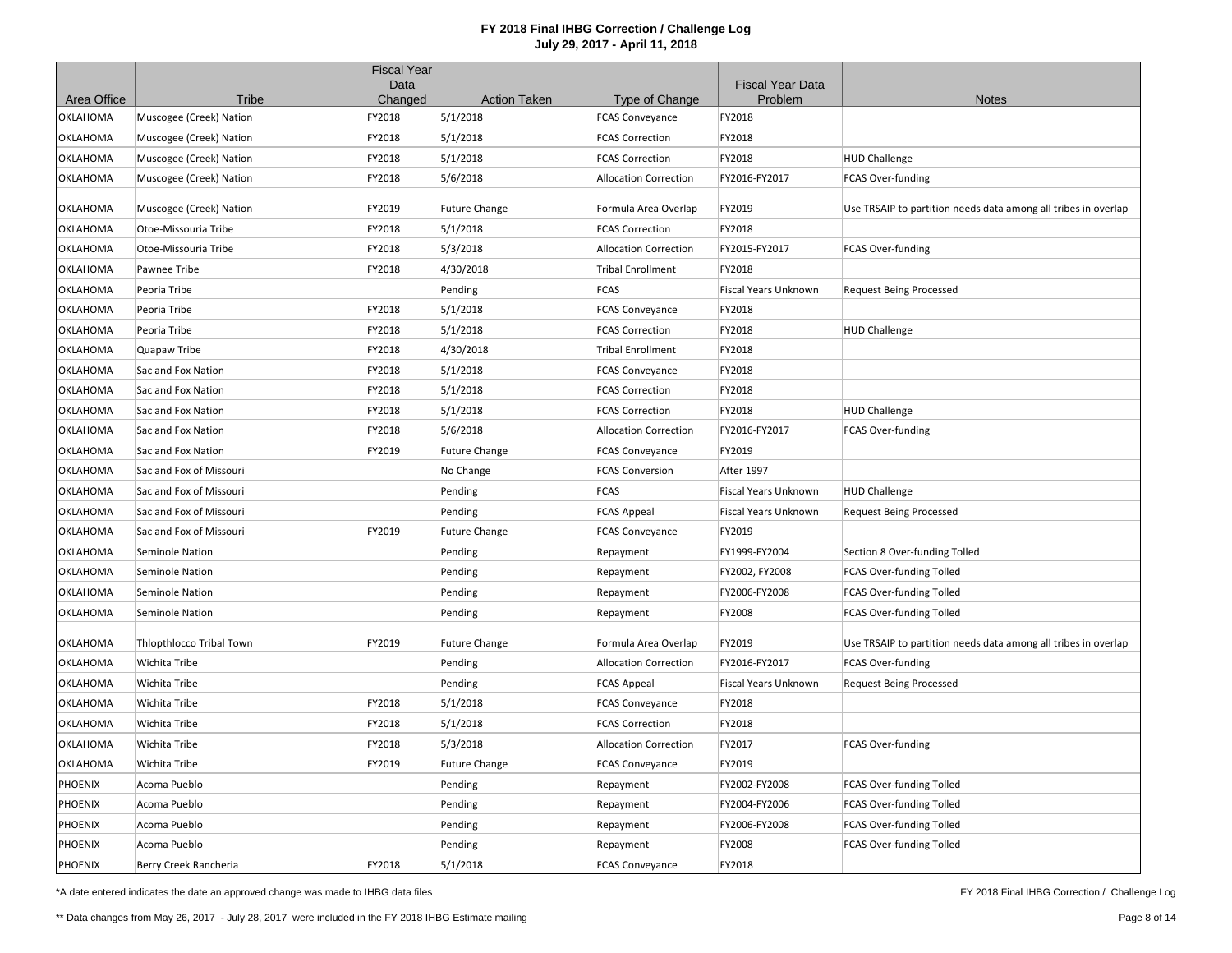|             |                          | <b>Fiscal Year</b><br>Data |                      |                              | <b>Fiscal Year Data</b> |                                                                |
|-------------|--------------------------|----------------------------|----------------------|------------------------------|-------------------------|----------------------------------------------------------------|
| Area Office | Tribe                    | Changed                    | <b>Action Taken</b>  | Type of Change               | Problem                 | <b>Notes</b>                                                   |
| OKLAHOMA    | Muscogee (Creek) Nation  | FY2018                     | 5/1/2018             | <b>FCAS Conveyance</b>       | FY2018                  |                                                                |
| OKLAHOMA    | Muscogee (Creek) Nation  | FY2018                     | 5/1/2018             | <b>FCAS Correction</b>       | FY2018                  |                                                                |
| OKLAHOMA    | Muscogee (Creek) Nation  | FY2018                     | 5/1/2018             | <b>FCAS Correction</b>       | FY2018                  | <b>HUD Challenge</b>                                           |
| OKLAHOMA    | Muscogee (Creek) Nation  | FY2018                     | 5/6/2018             | <b>Allocation Correction</b> | FY2016-FY2017           | FCAS Over-funding                                              |
| OKLAHOMA    | Muscogee (Creek) Nation  | FY2019                     | <b>Future Change</b> | Formula Area Overlap         | FY2019                  | Use TRSAIP to partition needs data among all tribes in overlap |
| OKLAHOMA    | Otoe-Missouria Tribe     | FY2018                     | 5/1/2018             | <b>FCAS Correction</b>       | FY2018                  |                                                                |
| OKLAHOMA    | Otoe-Missouria Tribe     | FY2018                     | 5/3/2018             | <b>Allocation Correction</b> | FY2015-FY2017           | FCAS Over-funding                                              |
| OKLAHOMA    | Pawnee Tribe             | FY2018                     | 4/30/2018            | <b>Tribal Enrollment</b>     | FY2018                  |                                                                |
| OKLAHOMA    | Peoria Tribe             |                            | Pending              | <b>FCAS</b>                  | Fiscal Years Unknown    | <b>Request Being Processed</b>                                 |
| OKLAHOMA    | Peoria Tribe             | FY2018                     | 5/1/2018             | <b>FCAS Conveyance</b>       | FY2018                  |                                                                |
| OKLAHOMA    | Peoria Tribe             | FY2018                     | 5/1/2018             | <b>FCAS Correction</b>       | FY2018                  | <b>HUD Challenge</b>                                           |
| OKLAHOMA    | Quapaw Tribe             | FY2018                     | 4/30/2018            | <b>Tribal Enrollment</b>     | FY2018                  |                                                                |
| OKLAHOMA    | Sac and Fox Nation       | FY2018                     | 5/1/2018             | <b>FCAS Conveyance</b>       | FY2018                  |                                                                |
| OKLAHOMA    | Sac and Fox Nation       | FY2018                     | 5/1/2018             | <b>FCAS Correction</b>       | FY2018                  |                                                                |
| OKLAHOMA    | Sac and Fox Nation       | FY2018                     | 5/1/2018             | <b>FCAS Correction</b>       | FY2018                  | <b>HUD Challenge</b>                                           |
| OKLAHOMA    | Sac and Fox Nation       | FY2018                     | 5/6/2018             | <b>Allocation Correction</b> | FY2016-FY2017           | FCAS Over-funding                                              |
| OKLAHOMA    | Sac and Fox Nation       | FY2019                     | <b>Future Change</b> | <b>FCAS Conveyance</b>       | FY2019                  |                                                                |
| OKLAHOMA    | Sac and Fox of Missouri  |                            | No Change            | <b>FCAS Conversion</b>       | After 1997              |                                                                |
| OKLAHOMA    | Sac and Fox of Missouri  |                            | Pending              | <b>FCAS</b>                  | Fiscal Years Unknown    | <b>HUD Challenge</b>                                           |
| OKLAHOMA    | Sac and Fox of Missouri  |                            | Pending              | <b>FCAS Appeal</b>           | Fiscal Years Unknown    | <b>Request Being Processed</b>                                 |
| OKLAHOMA    | Sac and Fox of Missouri  | FY2019                     | <b>Future Change</b> | <b>FCAS Conveyance</b>       | FY2019                  |                                                                |
| OKLAHOMA    | Seminole Nation          |                            | Pending              | Repayment                    | FY1999-FY2004           | Section 8 Over-funding Tolled                                  |
| OKLAHOMA    | Seminole Nation          |                            | Pending              | Repayment                    | FY2002, FY2008          | FCAS Over-funding Tolled                                       |
| OKLAHOMA    | Seminole Nation          |                            | Pending              | Repayment                    | FY2006-FY2008           | FCAS Over-funding Tolled                                       |
| OKLAHOMA    | Seminole Nation          |                            | Pending              | Repayment                    | FY2008                  | FCAS Over-funding Tolled                                       |
| OKLAHOMA    | Thlopthlocco Tribal Town | FY2019                     | <b>Future Change</b> | Formula Area Overlap         | FY2019                  | Use TRSAIP to partition needs data among all tribes in overlap |
| OKLAHOMA    | Wichita Tribe            |                            | Pending              | <b>Allocation Correction</b> | FY2016-FY2017           | <b>FCAS Over-funding</b>                                       |
| OKLAHOMA    | Wichita Tribe            |                            | Pending              | <b>FCAS Appeal</b>           | Fiscal Years Unknown    | <b>Request Being Processed</b>                                 |
| OKLAHOMA    | Wichita Tribe            | FY2018                     | 5/1/2018             | <b>FCAS Conveyance</b>       | FY2018                  |                                                                |
| OKLAHOMA    | Wichita Tribe            | FY2018                     | 5/1/2018             | <b>FCAS Correction</b>       | FY2018                  |                                                                |
| OKLAHOMA    | Wichita Tribe            | FY2018                     | 5/3/2018             | <b>Allocation Correction</b> | FY2017                  | FCAS Over-funding                                              |
| OKLAHOMA    | Wichita Tribe            | FY2019                     | <b>Future Change</b> | <b>FCAS Conveyance</b>       | FY2019                  |                                                                |
| PHOENIX     | Acoma Pueblo             |                            | Pending              | Repayment                    | FY2002-FY2008           | FCAS Over-funding Tolled                                       |
| PHOENIX     | Acoma Pueblo             |                            | Pending              | Repayment                    | FY2004-FY2006           | FCAS Over-funding Tolled                                       |
| PHOENIX     | Acoma Pueblo             |                            | Pending              | Repayment                    | FY2006-FY2008           | FCAS Over-funding Tolled                                       |
| PHOENIX     | Acoma Pueblo             |                            | Pending              | Repayment                    | FY2008                  | FCAS Over-funding Tolled                                       |
| PHOENIX     | Berry Creek Rancheria    | FY2018                     | 5/1/2018             | <b>FCAS Conveyance</b>       | FY2018                  |                                                                |

\*A date entered indicates the date an approved change was made to IHBG data files

FY 2018 Final IHBG Correction / Challenge Log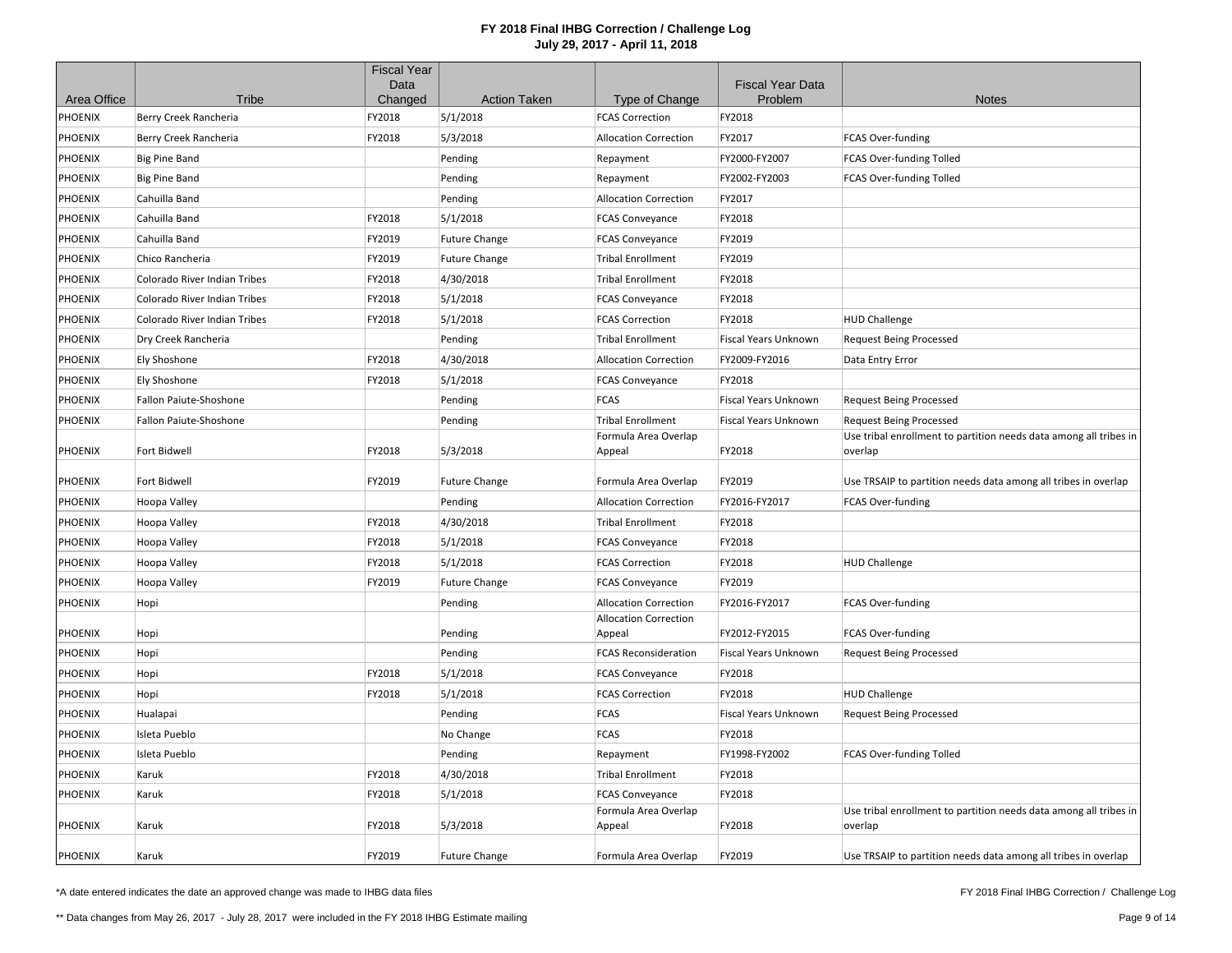|             |                              | <b>Fiscal Year</b> |                      |                                        |                                    |                                                                   |
|-------------|------------------------------|--------------------|----------------------|----------------------------------------|------------------------------------|-------------------------------------------------------------------|
| Area Office | Tribe                        | Data<br>Changed    | <b>Action Taken</b>  | Type of Change                         | <b>Fiscal Year Data</b><br>Problem | <b>Notes</b>                                                      |
| PHOENIX     | Berry Creek Rancheria        | FY2018             | 5/1/2018             | <b>FCAS Correction</b>                 | FY2018                             |                                                                   |
| PHOENIX     | Berry Creek Rancheria        | FY2018             | 5/3/2018             | <b>Allocation Correction</b>           | FY2017                             | FCAS Over-funding                                                 |
| PHOENIX     | <b>Big Pine Band</b>         |                    | Pending              | Repayment                              | FY2000-FY2007                      | FCAS Over-funding Tolled                                          |
| PHOENIX     | <b>Big Pine Band</b>         |                    | Pending              | Repayment                              | FY2002-FY2003                      | FCAS Over-funding Tolled                                          |
| PHOENIX     | Cahuilla Band                |                    | Pending              | <b>Allocation Correction</b>           | FY2017                             |                                                                   |
| PHOENIX     | Cahuilla Band                | FY2018             | 5/1/2018             | <b>FCAS Conveyance</b>                 | FY2018                             |                                                                   |
| PHOENIX     | Cahuilla Band                | FY2019             | <b>Future Change</b> | <b>FCAS Conveyance</b>                 | FY2019                             |                                                                   |
| PHOENIX     | Chico Rancheria              | FY2019             | <b>Future Change</b> | <b>Tribal Enrollment</b>               | FY2019                             |                                                                   |
| PHOENIX     | Colorado River Indian Tribes | FY2018             | 4/30/2018            | <b>Tribal Enrollment</b>               | FY2018                             |                                                                   |
| PHOENIX     | Colorado River Indian Tribes | FY2018             | 5/1/2018             | <b>FCAS Conveyance</b>                 | FY2018                             |                                                                   |
| PHOENIX     | Colorado River Indian Tribes | FY2018             | 5/1/2018             | <b>FCAS Correction</b>                 | FY2018                             | <b>HUD Challenge</b>                                              |
| PHOENIX     | Dry Creek Rancheria          |                    | Pending              | <b>Tribal Enrollment</b>               | Fiscal Years Unknown               | <b>Request Being Processed</b>                                    |
| PHOENIX     | Ely Shoshone                 | FY2018             | 4/30/2018            | <b>Allocation Correction</b>           | FY2009-FY2016                      | Data Entry Error                                                  |
| PHOENIX     | Ely Shoshone                 | FY2018             | 5/1/2018             | <b>FCAS Conveyance</b>                 | FY2018                             |                                                                   |
| PHOENIX     | Fallon Paiute-Shoshone       |                    | Pending              | <b>FCAS</b>                            | Fiscal Years Unknown               | <b>Request Being Processed</b>                                    |
| PHOENIX     | Fallon Paiute-Shoshone       |                    | Pending              | <b>Tribal Enrollment</b>               | Fiscal Years Unknown               | <b>Request Being Processed</b>                                    |
|             |                              |                    |                      | Formula Area Overlap                   |                                    | Use tribal enrollment to partition needs data among all tribes in |
| PHOENIX     | Fort Bidwell                 | FY2018             | 5/3/2018             | Appeal                                 | FY2018                             | overlap                                                           |
| PHOENIX     | Fort Bidwell                 | FY2019             | <b>Future Change</b> | Formula Area Overlap                   | FY2019                             | Use TRSAIP to partition needs data among all tribes in overlap    |
| PHOENIX     | Hoopa Valley                 |                    | Pending              | <b>Allocation Correction</b>           | FY2016-FY2017                      | FCAS Over-funding                                                 |
| PHOENIX     | Hoopa Valley                 | FY2018             | 4/30/2018            | <b>Tribal Enrollment</b>               | FY2018                             |                                                                   |
| PHOENIX     | Hoopa Valley                 | FY2018             | 5/1/2018             | <b>FCAS Conveyance</b>                 | FY2018                             |                                                                   |
| PHOENIX     | Hoopa Valley                 | FY2018             | 5/1/2018             | <b>FCAS Correction</b>                 | FY2018                             | <b>HUD Challenge</b>                                              |
| PHOENIX     | Hoopa Valley                 | FY2019             | <b>Future Change</b> | <b>FCAS Conveyance</b>                 | FY2019                             |                                                                   |
| PHOENIX     | Hopi                         |                    | Pending              | <b>Allocation Correction</b>           | FY2016-FY2017                      | FCAS Over-funding                                                 |
| PHOENIX     | Hopi                         |                    | Pending              | <b>Allocation Correction</b><br>Appeal | FY2012-FY2015                      | FCAS Over-funding                                                 |
| PHOENIX     | Hopi                         |                    | Pending              | <b>FCAS Reconsideration</b>            | Fiscal Years Unknown               | <b>Request Being Processed</b>                                    |
| PHOENIX     | Hopi                         | FY2018             | 5/1/2018             | <b>FCAS Conveyance</b>                 | FY2018                             |                                                                   |
| PHOENIX     | Hopi                         | FY2018             | 5/1/2018             | <b>FCAS Correction</b>                 | FY2018                             | <b>HUD Challenge</b>                                              |
| PHOENIX     | Hualapai                     |                    | Pending              | <b>FCAS</b>                            | Fiscal Years Unknown               | <b>Request Being Processed</b>                                    |
| PHOENIX     | Isleta Pueblo                |                    | No Change            | FCAS                                   | FY2018                             |                                                                   |
| PHOENIX     | Isleta Pueblo                |                    | Pending              | Repayment                              | FY1998-FY2002                      | FCAS Over-funding Tolled                                          |
| PHOENIX     | Karuk                        | FY2018             | 4/30/2018            | <b>Tribal Enrollment</b>               | FY2018                             |                                                                   |
| PHOENIX     | Karuk                        | FY2018             | 5/1/2018             | <b>FCAS Conveyance</b>                 | FY2018                             |                                                                   |
|             |                              |                    |                      | Formula Area Overlap                   |                                    | Use tribal enrollment to partition needs data among all tribes in |
| PHOENIX     | Karuk                        | FY2018             | 5/3/2018             | Appeal                                 | FY2018                             | overlap                                                           |
| PHOENIX     | Karuk                        | FY2019             | <b>Future Change</b> | Formula Area Overlap                   | FY2019                             | Use TRSAIP to partition needs data among all tribes in overlap    |

\*A date entered indicates the date an approved change was made to IHBG data files

FY 2018 Final IHBG Correction / Challenge Log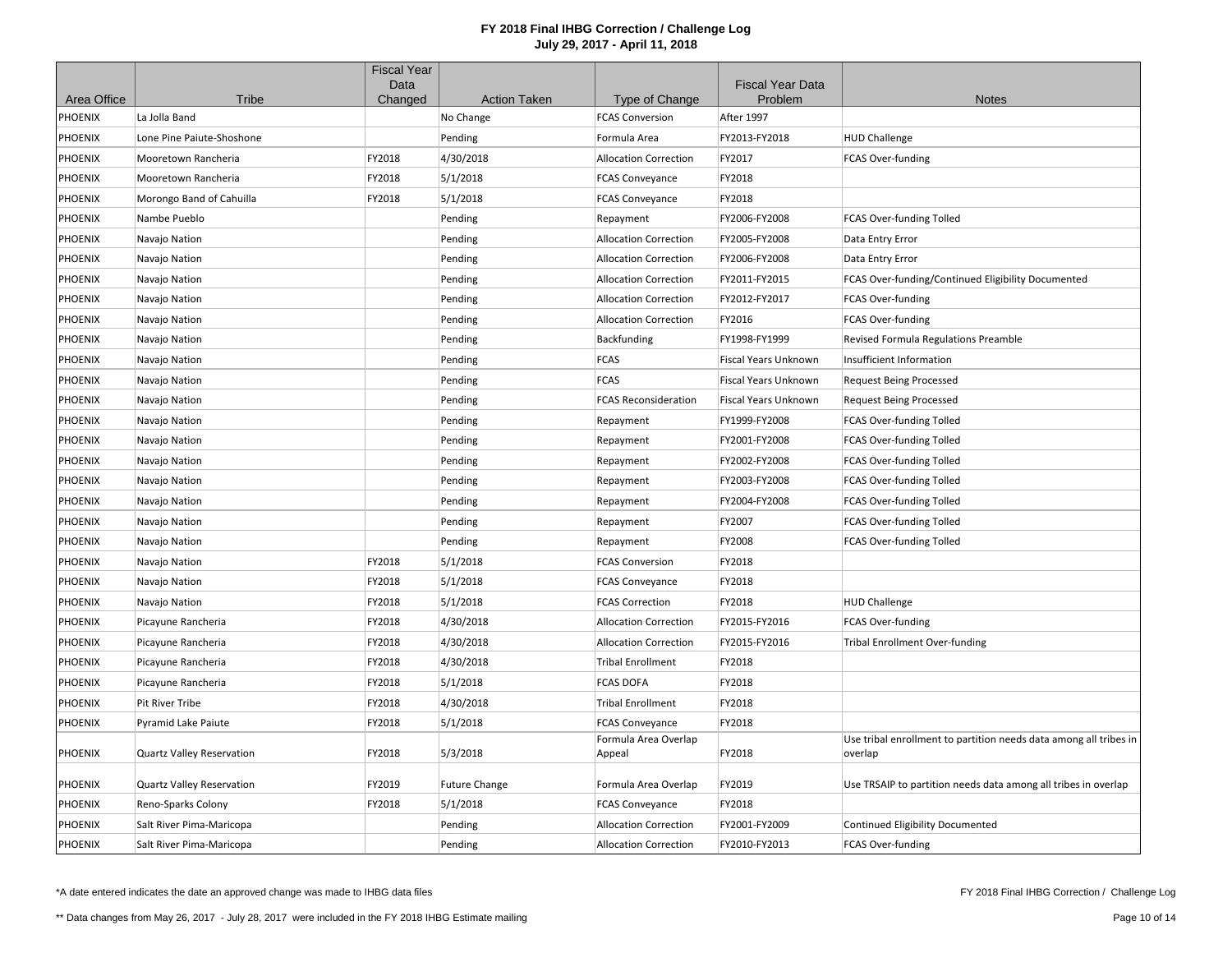|                |                                  | <b>Fiscal Year</b> |                      |                                |                                    |                                                                              |
|----------------|----------------------------------|--------------------|----------------------|--------------------------------|------------------------------------|------------------------------------------------------------------------------|
| Area Office    | Tribe                            | Data<br>Changed    | <b>Action Taken</b>  | Type of Change                 | <b>Fiscal Year Data</b><br>Problem | <b>Notes</b>                                                                 |
| PHOENIX        | La Jolla Band                    |                    | No Change            | <b>FCAS Conversion</b>         | After 1997                         |                                                                              |
| PHOENIX        | Lone Pine Paiute-Shoshone        |                    | Pending              | Formula Area                   | FY2013-FY2018                      | <b>HUD Challenge</b>                                                         |
| PHOENIX        | Mooretown Rancheria              | FY2018             | 4/30/2018            | <b>Allocation Correction</b>   | FY2017                             | FCAS Over-funding                                                            |
| PHOENIX        | Mooretown Rancheria              | FY2018             | 5/1/2018             | <b>FCAS Conveyance</b>         | FY2018                             |                                                                              |
| PHOENIX        | Morongo Band of Cahuilla         | FY2018             | 5/1/2018             | <b>FCAS Conveyance</b>         | FY2018                             |                                                                              |
| PHOENIX        | Nambe Pueblo                     |                    | Pending              | Repayment                      | FY2006-FY2008                      | FCAS Over-funding Tolled                                                     |
| <b>PHOENIX</b> | Navajo Nation                    |                    | Pending              | <b>Allocation Correction</b>   | FY2005-FY2008                      | Data Entry Error                                                             |
| <b>PHOENIX</b> | Navajo Nation                    |                    | Pending              | <b>Allocation Correction</b>   | FY2006-FY2008                      | Data Entry Error                                                             |
| PHOENIX        |                                  |                    |                      | <b>Allocation Correction</b>   | FY2011-FY2015                      |                                                                              |
|                | Navajo Nation                    |                    | Pending              | <b>Allocation Correction</b>   |                                    | FCAS Over-funding/Continued Eligibility Documented                           |
| PHOENIX        | Navajo Nation                    |                    | Pending              |                                | FY2012-FY2017                      | FCAS Over-funding                                                            |
| PHOENIX        | Navajo Nation                    |                    | Pending              | <b>Allocation Correction</b>   | FY2016                             | FCAS Over-funding                                                            |
| PHOENIX        | Navajo Nation                    |                    | Pending              | Backfunding                    | FY1998-FY1999                      | Revised Formula Regulations Preamble                                         |
| <b>PHOENIX</b> | Navajo Nation                    |                    | Pending              | <b>FCAS</b>                    | Fiscal Years Unknown               | Insufficient Information                                                     |
| PHOENIX        | Navajo Nation                    |                    | Pending              | <b>FCAS</b>                    | Fiscal Years Unknown               | <b>Request Being Processed</b>                                               |
| PHOENIX        | Navajo Nation                    |                    | Pending              | <b>FCAS Reconsideration</b>    | Fiscal Years Unknown               | <b>Request Being Processed</b>                                               |
| <b>PHOENIX</b> | Navajo Nation                    |                    | Pending              | Repayment                      | FY1999-FY2008                      | FCAS Over-funding Tolled                                                     |
| <b>PHOENIX</b> | Navajo Nation                    |                    | Pending              | Repayment                      | FY2001-FY2008                      | FCAS Over-funding Tolled                                                     |
| PHOENIX        | Navajo Nation                    |                    | Pending              | Repayment                      | FY2002-FY2008                      | FCAS Over-funding Tolled                                                     |
| PHOENIX        | Navajo Nation                    |                    | Pending              | Repayment                      | FY2003-FY2008                      | FCAS Over-funding Tolled                                                     |
| PHOENIX        | Navajo Nation                    |                    | Pending              | Repayment                      | FY2004-FY2008                      | FCAS Over-funding Tolled                                                     |
| <b>PHOENIX</b> | Navajo Nation                    |                    | Pending              | Repayment                      | FY2007                             | FCAS Over-funding Tolled                                                     |
| PHOENIX        | Navajo Nation                    |                    | Pending              | Repayment                      | FY2008                             | FCAS Over-funding Tolled                                                     |
| <b>PHOENIX</b> | Navajo Nation                    | FY2018             | 5/1/2018             | <b>FCAS Conversion</b>         | FY2018                             |                                                                              |
| PHOENIX        | Navajo Nation                    | FY2018             | 5/1/2018             | <b>FCAS Conveyance</b>         | FY2018                             |                                                                              |
| PHOENIX        | Navajo Nation                    | FY2018             | 5/1/2018             | <b>FCAS Correction</b>         | FY2018                             | <b>HUD Challenge</b>                                                         |
| <b>PHOENIX</b> | Picayune Rancheria               | FY2018             | 4/30/2018            | <b>Allocation Correction</b>   | FY2015-FY2016                      | FCAS Over-funding                                                            |
| <b>PHOENIX</b> | Picayune Rancheria               | FY2018             | 4/30/2018            | <b>Allocation Correction</b>   | FY2015-FY2016                      | <b>Tribal Enrollment Over-funding</b>                                        |
| <b>PHOENIX</b> | Picayune Rancheria               | FY2018             | 4/30/2018            | <b>Tribal Enrollment</b>       | FY2018                             |                                                                              |
| PHOENIX        | Picayune Rancheria               | FY2018             | 5/1/2018             | <b>FCAS DOFA</b>               | FY2018                             |                                                                              |
| PHOENIX        | <b>Pit River Tribe</b>           | FY2018             | 4/30/2018            | <b>Tribal Enrollment</b>       | FY2018                             |                                                                              |
| PHOENIX        | Pyramid Lake Paiute              | FY2018             | 5/1/2018             | <b>FCAS Conveyance</b>         | FY2018                             |                                                                              |
| <b>PHOENIX</b> | <b>Quartz Valley Reservation</b> | FY2018             | 5/3/2018             | Formula Area Overlap<br>Appeal | FY2018                             | Use tribal enrollment to partition needs data among all tribes in<br>overlap |
| PHOENIX        | Quartz Valley Reservation        | FY2019             | <b>Future Change</b> | Formula Area Overlap           | FY2019                             | Use TRSAIP to partition needs data among all tribes in overlap               |
| PHOENIX        | Reno-Sparks Colony               | FY2018             | 5/1/2018             | <b>FCAS Conveyance</b>         | FY2018                             |                                                                              |
| PHOENIX        | Salt River Pima-Maricopa         |                    | Pending              | <b>Allocation Correction</b>   | FY2001-FY2009                      | <b>Continued Eligibility Documented</b>                                      |
| <b>PHOENIX</b> | Salt River Pima-Maricopa         |                    | Pending              | <b>Allocation Correction</b>   | FY2010-FY2013                      | FCAS Over-funding                                                            |

\*A date entered indicates the date an approved change was made to IHBG data files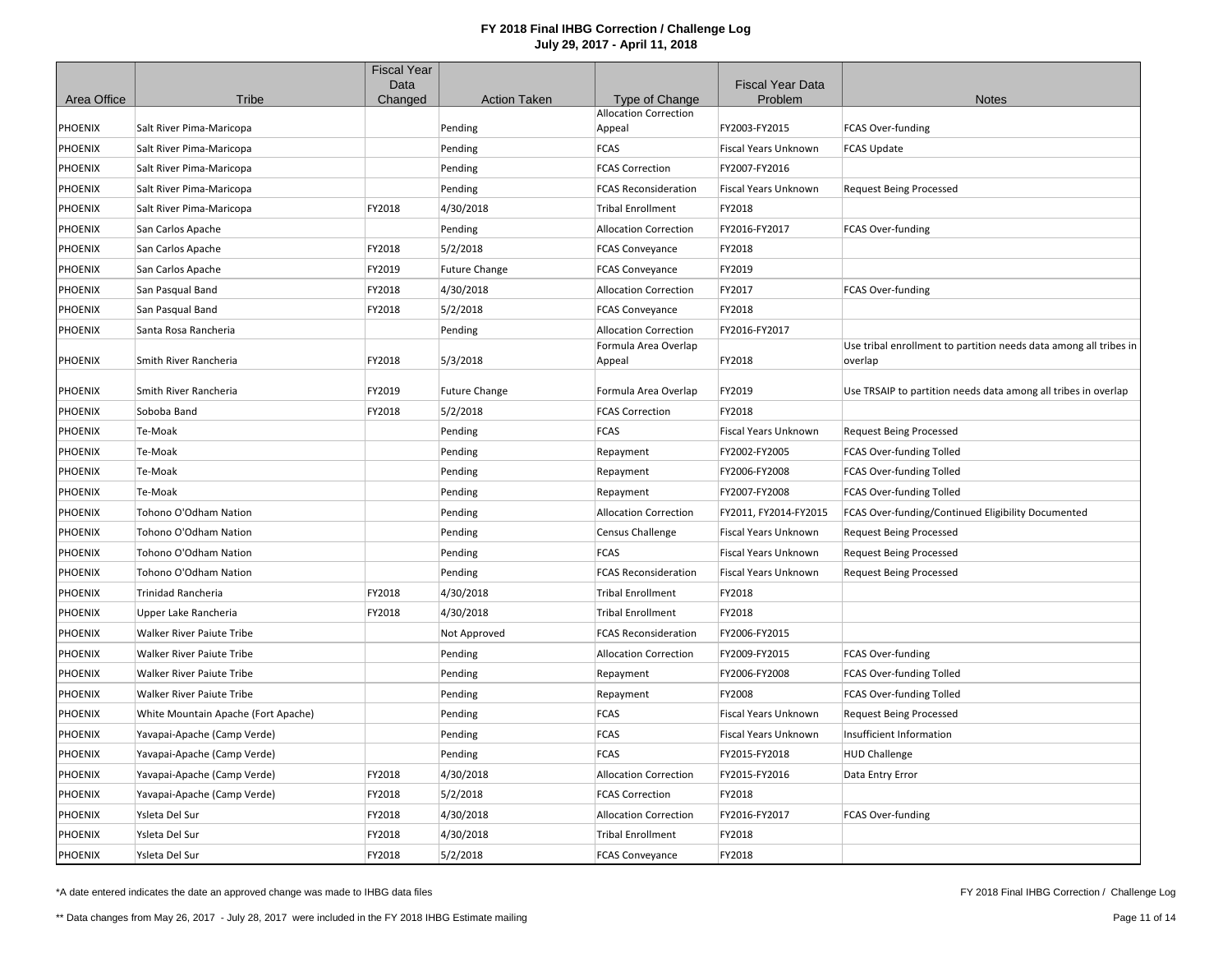|                |                                     | <b>Fiscal Year</b> |                      |                                                |                             |                                                                              |
|----------------|-------------------------------------|--------------------|----------------------|------------------------------------------------|-----------------------------|------------------------------------------------------------------------------|
|                |                                     | Data               |                      |                                                | <b>Fiscal Year Data</b>     |                                                                              |
| Area Office    | Tribe                               | Changed            | <b>Action Taken</b>  | Type of Change<br><b>Allocation Correction</b> | Problem                     | <b>Notes</b>                                                                 |
| PHOENIX        | Salt River Pima-Maricopa            |                    | Pending              | Appeal                                         | FY2003-FY2015               | FCAS Over-funding                                                            |
| PHOENIX        | Salt River Pima-Maricopa            |                    | Pending              | <b>FCAS</b>                                    | Fiscal Years Unknown        | <b>FCAS Update</b>                                                           |
| PHOENIX        | Salt River Pima-Maricopa            |                    | Pending              | <b>FCAS Correction</b>                         | FY2007-FY2016               |                                                                              |
| PHOENIX        | Salt River Pima-Maricopa            |                    | Pending              | <b>FCAS Reconsideration</b>                    | <b>Fiscal Years Unknown</b> | <b>Request Being Processed</b>                                               |
| PHOENIX        | Salt River Pima-Maricopa            | FY2018             | 4/30/2018            | <b>Tribal Enrollment</b>                       | FY2018                      |                                                                              |
| PHOENIX        | San Carlos Apache                   |                    | Pending              | <b>Allocation Correction</b>                   | FY2016-FY2017               | FCAS Over-funding                                                            |
| PHOENIX        | San Carlos Apache                   | FY2018             | 5/2/2018             | <b>FCAS Conveyance</b>                         | FY2018                      |                                                                              |
| PHOENIX        | San Carlos Apache                   | FY2019             | <b>Future Change</b> | <b>FCAS Conveyance</b>                         | FY2019                      |                                                                              |
| PHOENIX        | San Pasqual Band                    | FY2018             | 4/30/2018            | <b>Allocation Correction</b>                   | FY2017                      | FCAS Over-funding                                                            |
| PHOENIX        | San Pasqual Band                    | FY2018             | 5/2/2018             | <b>FCAS Conveyance</b>                         | FY2018                      |                                                                              |
| PHOENIX        | Santa Rosa Rancheria                |                    | Pending              | <b>Allocation Correction</b>                   | FY2016-FY2017               |                                                                              |
| PHOENIX        | Smith River Rancheria               | FY2018             | 5/3/2018             | Formula Area Overlap<br>Appeal                 | FY2018                      | Use tribal enrollment to partition needs data among all tribes in<br>overlap |
| PHOENIX        | Smith River Rancheria               | FY2019             | <b>Future Change</b> | Formula Area Overlap                           | FY2019                      | Use TRSAIP to partition needs data among all tribes in overlap               |
| PHOENIX        | Soboba Band                         | FY2018             | 5/2/2018             | <b>FCAS Correction</b>                         | FY2018                      |                                                                              |
| PHOENIX        | Te-Moak                             |                    | Pending              | <b>FCAS</b>                                    | Fiscal Years Unknown        | <b>Request Being Processed</b>                                               |
| PHOENIX        | Te-Moak                             |                    | Pending              | Repayment                                      | FY2002-FY2005               | FCAS Over-funding Tolled                                                     |
| PHOENIX        | Te-Moak                             |                    | Pending              | Repayment                                      | FY2006-FY2008               | FCAS Over-funding Tolled                                                     |
| PHOENIX        | Te-Moak                             |                    | Pending              | Repayment                                      | FY2007-FY2008               | FCAS Over-funding Tolled                                                     |
| PHOENIX        | Tohono O'Odham Nation               |                    | Pending              | <b>Allocation Correction</b>                   | FY2011, FY2014-FY2015       | FCAS Over-funding/Continued Eligibility Documented                           |
| PHOENIX        | Tohono O'Odham Nation               |                    | Pending              | <b>Census Challenge</b>                        | Fiscal Years Unknown        | <b>Request Being Processed</b>                                               |
| PHOENIX        | Tohono O'Odham Nation               |                    | Pending              | <b>FCAS</b>                                    | <b>Fiscal Years Unknown</b> | <b>Request Being Processed</b>                                               |
| PHOENIX        | Tohono O'Odham Nation               |                    | Pending              | <b>FCAS Reconsideration</b>                    | Fiscal Years Unknown        | <b>Request Being Processed</b>                                               |
| PHOENIX        | <b>Trinidad Rancheria</b>           | FY2018             | 4/30/2018            | <b>Tribal Enrollment</b>                       | FY2018                      |                                                                              |
| PHOENIX        | Upper Lake Rancheria                | FY2018             | 4/30/2018            | <b>Tribal Enrollment</b>                       | FY2018                      |                                                                              |
| PHOENIX        | Walker River Paiute Tribe           |                    | Not Approved         | <b>FCAS Reconsideration</b>                    | FY2006-FY2015               |                                                                              |
| PHOENIX        | Walker River Paiute Tribe           |                    | Pending              | <b>Allocation Correction</b>                   | FY2009-FY2015               | FCAS Over-funding                                                            |
| PHOENIX        | Walker River Paiute Tribe           |                    | Pending              | Repayment                                      | FY2006-FY2008               | FCAS Over-funding Tolled                                                     |
| PHOENIX        | Walker River Paiute Tribe           |                    | Pending              | Repayment                                      | FY2008                      | FCAS Over-funding Tolled                                                     |
| PHOENIX        | White Mountain Apache (Fort Apache) |                    | Pending              | <b>FCAS</b>                                    | Fiscal Years Unknown        | <b>Request Being Processed</b>                                               |
| PHOENIX        | Yavapai-Apache (Camp Verde)         |                    | Pending              | <b>FCAS</b>                                    | Fiscal Years Unknown        | Insufficient Information                                                     |
| <b>PHOENIX</b> | Yavapai-Apache (Camp Verde)         |                    | Pending              | <b>FCAS</b>                                    | FY2015-FY2018               | <b>HUD Challenge</b>                                                         |
| PHOENIX        | Yavapai-Apache (Camp Verde)         | FY2018             | 4/30/2018            | <b>Allocation Correction</b>                   | FY2015-FY2016               | Data Entry Error                                                             |
| PHOENIX        | Yavapai-Apache (Camp Verde)         | FY2018             | 5/2/2018             | <b>FCAS Correction</b>                         | FY2018                      |                                                                              |
| PHOENIX        | Ysleta Del Sur                      | FY2018             | 4/30/2018            | <b>Allocation Correction</b>                   | FY2016-FY2017               | FCAS Over-funding                                                            |
| PHOENIX        | Ysleta Del Sur                      | FY2018             | 4/30/2018            | <b>Tribal Enrollment</b>                       | FY2018                      |                                                                              |
| <b>PHOENIX</b> | Ysleta Del Sur                      | FY2018             | 5/2/2018             | <b>FCAS Conveyance</b>                         | FY2018                      |                                                                              |

\*A date entered indicates the date an approved change was made to IHBG data files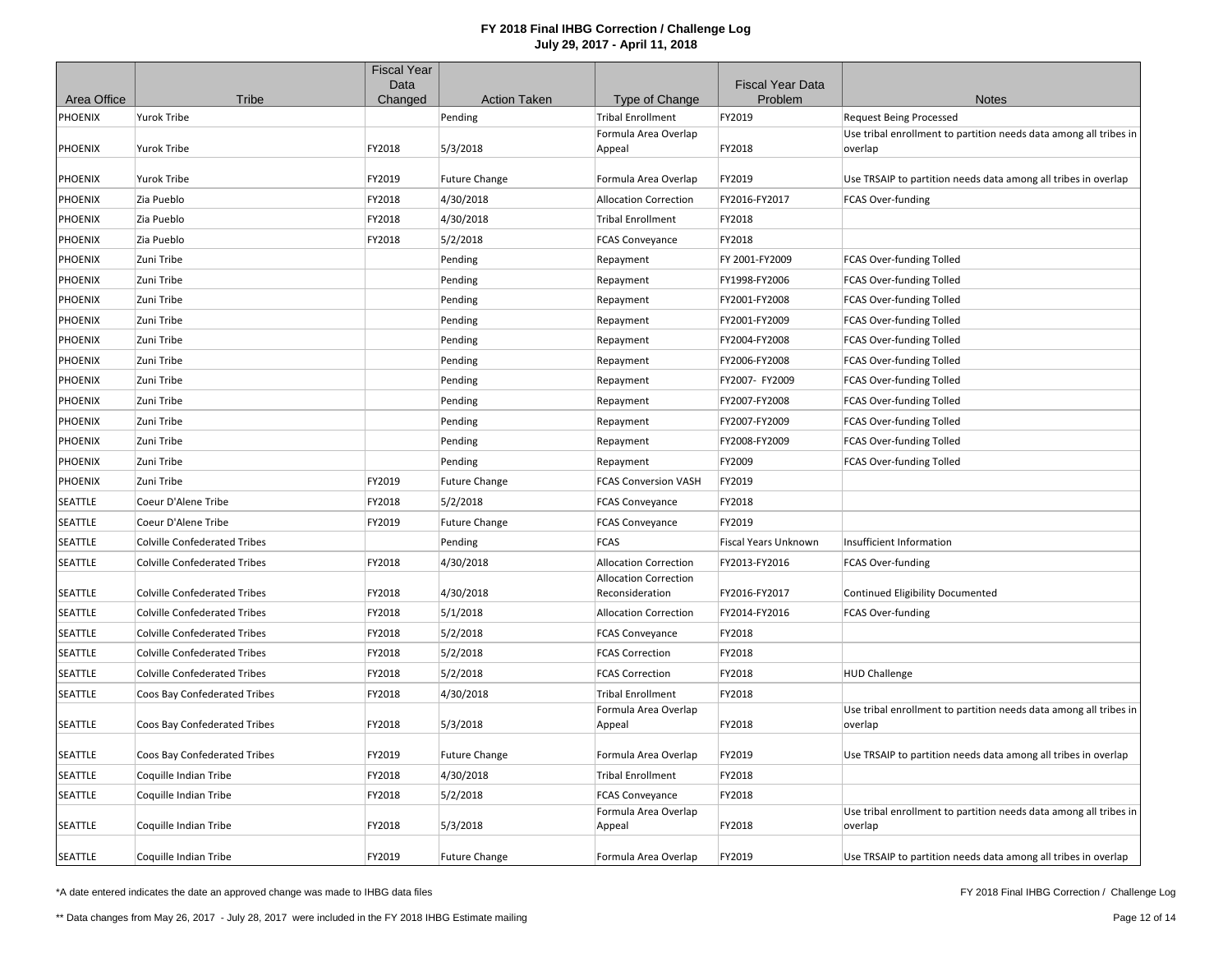|                |                                     | <b>Fiscal Year</b><br>Data |                      |                                                 | <b>Fiscal Year Data</b>     |                                                                              |
|----------------|-------------------------------------|----------------------------|----------------------|-------------------------------------------------|-----------------------------|------------------------------------------------------------------------------|
| Area Office    | Tribe                               | Changed                    | <b>Action Taken</b>  | Type of Change                                  | Problem                     | <b>Notes</b>                                                                 |
| PHOENIX        | <b>Yurok Tribe</b>                  |                            | Pending              | <b>Tribal Enrollment</b>                        | FY2019                      | <b>Request Being Processed</b>                                               |
| PHOENIX        | Yurok Tribe                         | FY2018                     | 5/3/2018             | Formula Area Overlap<br>Appeal                  | FY2018                      | Use tribal enrollment to partition needs data among all tribes in<br>overlap |
| PHOENIX        | Yurok Tribe                         | FY2019                     | <b>Future Change</b> | Formula Area Overlap                            | FY2019                      | Use TRSAIP to partition needs data among all tribes in overlap               |
| PHOENIX        | Zia Pueblo                          | FY2018                     | 4/30/2018            | <b>Allocation Correction</b>                    | FY2016-FY2017               | <b>FCAS Over-funding</b>                                                     |
| PHOENIX        | Zia Pueblo                          | FY2018                     | 4/30/2018            | <b>Tribal Enrollment</b>                        | FY2018                      |                                                                              |
| PHOENIX        | Zia Pueblo                          | FY2018                     | 5/2/2018             | <b>FCAS Conveyance</b>                          | FY2018                      |                                                                              |
| PHOENIX        | Zuni Tribe                          |                            | Pending              | Repayment                                       | FY 2001-FY2009              | FCAS Over-funding Tolled                                                     |
| PHOENIX        | Zuni Tribe                          |                            | Pending              | Repayment                                       | FY1998-FY2006               | FCAS Over-funding Tolled                                                     |
| PHOENIX        | Zuni Tribe                          |                            | Pending              | Repayment                                       | FY2001-FY2008               | FCAS Over-funding Tolled                                                     |
| PHOENIX        | Zuni Tribe                          |                            | Pending              | Repayment                                       | FY2001-FY2009               | FCAS Over-funding Tolled                                                     |
| PHOENIX        | Zuni Tribe                          |                            | Pending              | Repayment                                       | FY2004-FY2008               | FCAS Over-funding Tolled                                                     |
| PHOENIX        | Zuni Tribe                          |                            | Pending              | Repayment                                       | FY2006-FY2008               | FCAS Over-funding Tolled                                                     |
| PHOENIX        | Zuni Tribe                          |                            | Pending              | Repayment                                       | FY2007- FY2009              | FCAS Over-funding Tolled                                                     |
| PHOENIX        | Zuni Tribe                          |                            | Pending              | Repayment                                       | FY2007-FY2008               | FCAS Over-funding Tolled                                                     |
| PHOENIX        | Zuni Tribe                          |                            | Pending              | Repayment                                       | FY2007-FY2009               | FCAS Over-funding Tolled                                                     |
| PHOENIX        | Zuni Tribe                          |                            | Pending              | Repayment                                       | FY2008-FY2009               | FCAS Over-funding Tolled                                                     |
| PHOENIX        | Zuni Tribe                          |                            | Pending              | Repayment                                       | FY2009                      | FCAS Over-funding Tolled                                                     |
| PHOENIX        | Zuni Tribe                          | FY2019                     | <b>Future Change</b> | <b>FCAS Conversion VASH</b>                     | FY2019                      |                                                                              |
| SEATTLE        | Coeur D'Alene Tribe                 | FY2018                     | 5/2/2018             | <b>FCAS Conveyance</b>                          | FY2018                      |                                                                              |
| SEATTLE        | Coeur D'Alene Tribe                 | FY2019                     | <b>Future Change</b> | <b>FCAS Conveyance</b>                          | FY2019                      |                                                                              |
| SEATTLE        | <b>Colville Confederated Tribes</b> |                            | Pending              | <b>FCAS</b>                                     | <b>Fiscal Years Unknown</b> | Insufficient Information                                                     |
| SEATTLE        | <b>Colville Confederated Tribes</b> | FY2018                     | 4/30/2018            | <b>Allocation Correction</b>                    | FY2013-FY2016               | <b>FCAS Over-funding</b>                                                     |
| SEATTLE        | <b>Colville Confederated Tribes</b> | FY2018                     | 4/30/2018            | <b>Allocation Correction</b><br>Reconsideration | FY2016-FY2017               | Continued Eligibility Documented                                             |
| SEATTLE        | <b>Colville Confederated Tribes</b> | FY2018                     | 5/1/2018             | <b>Allocation Correction</b>                    | FY2014-FY2016               | FCAS Over-funding                                                            |
| SEATTLE        | <b>Colville Confederated Tribes</b> | FY2018                     | 5/2/2018             | <b>FCAS Conveyance</b>                          | FY2018                      |                                                                              |
| SEATTLE        | <b>Colville Confederated Tribes</b> | FY2018                     | 5/2/2018             | <b>FCAS Correction</b>                          | FY2018                      |                                                                              |
| SEATTLE        | <b>Colville Confederated Tribes</b> | FY2018                     | 5/2/2018             | <b>FCAS Correction</b>                          | FY2018                      | <b>HUD Challenge</b>                                                         |
| SEATTLE        | Coos Bay Confederated Tribes        | FY2018                     | 4/30/2018            | <b>Tribal Enrollment</b>                        | FY2018                      |                                                                              |
| SEATTLE        | Coos Bay Confederated Tribes        | FY2018                     | 5/3/2018             | Formula Area Overlap<br>Appeal                  | FY2018                      | Use tribal enrollment to partition needs data among all tribes in<br>overlap |
| SEATTLE        | Coos Bay Confederated Tribes        | FY2019                     | <b>Future Change</b> | Formula Area Overlap                            | FY2019                      | Use TRSAIP to partition needs data among all tribes in overlap               |
| SEATTLE        | Coquille Indian Tribe               | FY2018                     | 4/30/2018            | <b>Tribal Enrollment</b>                        | FY2018                      |                                                                              |
| SEATTLE        | Coquille Indian Tribe               | FY2018                     | 5/2/2018             | <b>FCAS Conveyance</b>                          | FY2018                      |                                                                              |
| SEATTLE        | Coquille Indian Tribe               | FY2018                     | 5/3/2018             | Formula Area Overlap<br>Appeal                  | FY2018                      | Use tribal enrollment to partition needs data among all tribes in<br>overlap |
| <b>SEATTLE</b> | Coquille Indian Tribe               | FY2019                     | <b>Future Change</b> | Formula Area Overlap                            | FY2019                      | Use TRSAIP to partition needs data among all tribes in overlap               |

\*A date entered indicates the date an approved change was made to IHBG data files

FY 2018 Final IHBG Correction / Challenge Log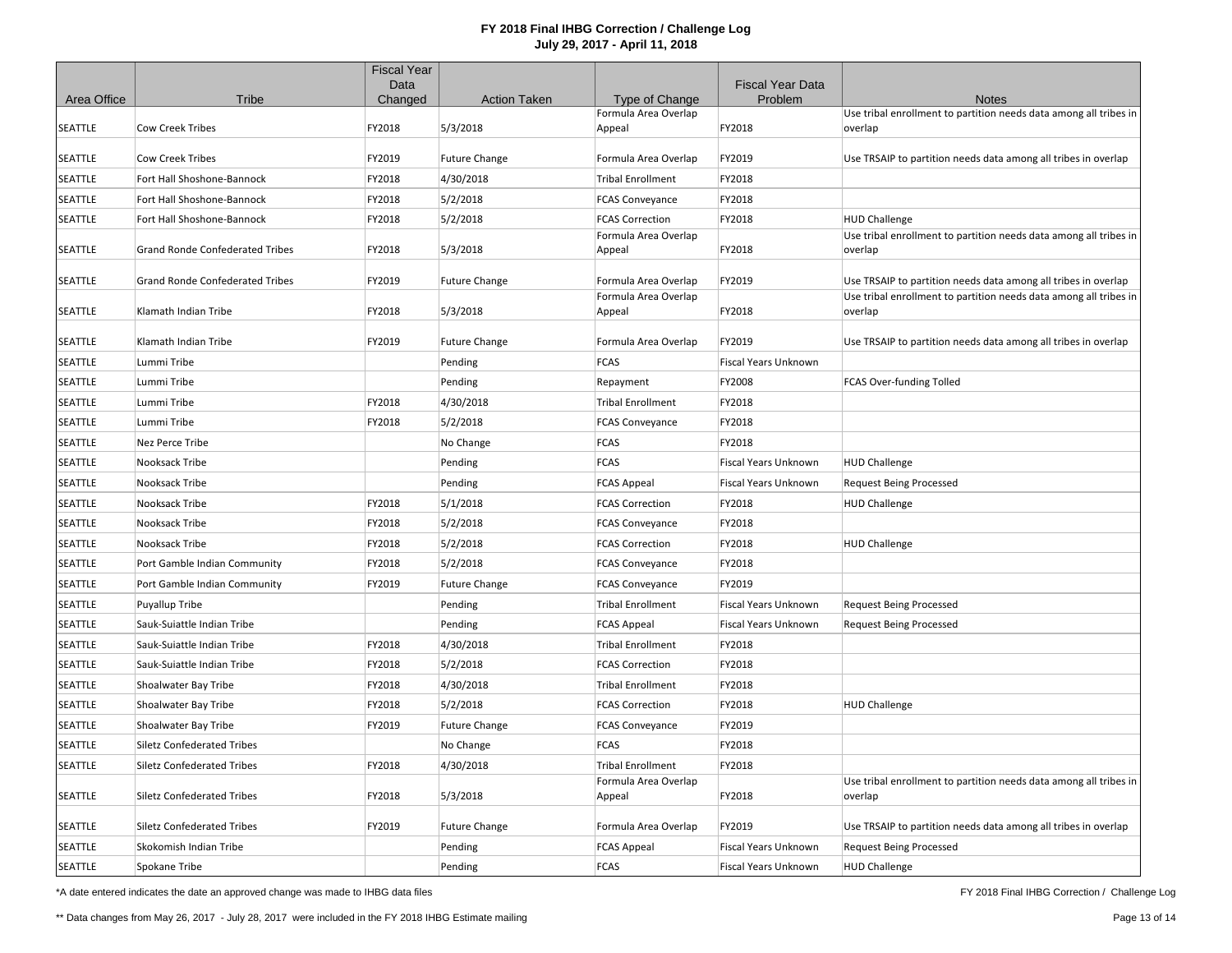|             |                                        | <b>Fiscal Year</b> |                      |                                |                                    |                                                                              |
|-------------|----------------------------------------|--------------------|----------------------|--------------------------------|------------------------------------|------------------------------------------------------------------------------|
| Area Office | Tribe                                  | Data<br>Changed    | <b>Action Taken</b>  | Type of Change                 | <b>Fiscal Year Data</b><br>Problem | <b>Notes</b>                                                                 |
|             |                                        |                    |                      | Formula Area Overlap           |                                    | Use tribal enrollment to partition needs data among all tribes in            |
| SEATTLE     | <b>Cow Creek Tribes</b>                | FY2018             | 5/3/2018             | Appeal                         | FY2018                             | overlap                                                                      |
| SEATTLE     | <b>Cow Creek Tribes</b>                | FY2019             | <b>Future Change</b> | Formula Area Overlap           | FY2019                             | Use TRSAIP to partition needs data among all tribes in overlap               |
| SEATTLE     | Fort Hall Shoshone-Bannock             | FY2018             | 4/30/2018            | <b>Tribal Enrollment</b>       | FY2018                             |                                                                              |
| SEATTLE     | Fort Hall Shoshone-Bannock             | FY2018             | 5/2/2018             | <b>FCAS Conveyance</b>         | FY2018                             |                                                                              |
| SEATTLE     | Fort Hall Shoshone-Bannock             | FY2018             | 5/2/2018             | <b>FCAS Correction</b>         | FY2018                             | <b>HUD Challenge</b>                                                         |
| SEATTLE     | <b>Grand Ronde Confederated Tribes</b> | FY2018             | 5/3/2018             | Formula Area Overlap<br>Appeal | FY2018                             | Use tribal enrollment to partition needs data among all tribes in<br>overlap |
| SEATTLE     | <b>Grand Ronde Confederated Tribes</b> | FY2019             | <b>Future Change</b> | Formula Area Overlap           | FY2019                             | Use TRSAIP to partition needs data among all tribes in overlap               |
| SEATTLE     | Klamath Indian Tribe                   | FY2018             | 5/3/2018             | Formula Area Overlap<br>Appeal | FY2018                             | Use tribal enrollment to partition needs data among all tribes in<br>overlap |
| SEATTLE     | Klamath Indian Tribe                   | FY2019             | <b>Future Change</b> | Formula Area Overlap           | FY2019                             | Use TRSAIP to partition needs data among all tribes in overlap               |
| SEATTLE     | Lummi Tribe                            |                    | Pending              | <b>FCAS</b>                    | <b>Fiscal Years Unknown</b>        |                                                                              |
| SEATTLE     | Lummi Tribe                            |                    | Pending              | Repayment                      | FY2008                             | FCAS Over-funding Tolled                                                     |
| SEATTLE     | Lummi Tribe                            | FY2018             | 4/30/2018            | <b>Tribal Enrollment</b>       | FY2018                             |                                                                              |
| SEATTLE     | Lummi Tribe                            | FY2018             | 5/2/2018             | <b>FCAS Conveyance</b>         | FY2018                             |                                                                              |
| SEATTLE     | Nez Perce Tribe                        |                    | No Change            | <b>FCAS</b>                    | FY2018                             |                                                                              |
| SEATTLE     | Nooksack Tribe                         |                    | Pending              | <b>FCAS</b>                    | Fiscal Years Unknown               | <b>HUD Challenge</b>                                                         |
| SEATTLE     | Nooksack Tribe                         |                    | Pending              | <b>FCAS Appeal</b>             | Fiscal Years Unknown               | <b>Request Being Processed</b>                                               |
| SEATTLE     | Nooksack Tribe                         | FY2018             | 5/1/2018             | <b>FCAS Correction</b>         | FY2018                             | <b>HUD Challenge</b>                                                         |
| SEATTLE     | Nooksack Tribe                         | FY2018             | 5/2/2018             | <b>FCAS Conveyance</b>         | FY2018                             |                                                                              |
| SEATTLE     | Nooksack Tribe                         | FY2018             | 5/2/2018             | <b>FCAS Correction</b>         | FY2018                             | <b>HUD Challenge</b>                                                         |
| SEATTLE     | Port Gamble Indian Community           | FY2018             | 5/2/2018             | <b>FCAS Conveyance</b>         | FY2018                             |                                                                              |
| SEATTLE     | Port Gamble Indian Community           | FY2019             | <b>Future Change</b> | <b>FCAS Conveyance</b>         | FY2019                             |                                                                              |
| SEATTLE     | Puyallup Tribe                         |                    | Pending              | <b>Tribal Enrollment</b>       | Fiscal Years Unknown               | <b>Request Being Processed</b>                                               |
| SEATTLE     | Sauk-Suiattle Indian Tribe             |                    | Pending              | <b>FCAS Appeal</b>             | Fiscal Years Unknown               | <b>Request Being Processed</b>                                               |
| SEATTLE     | Sauk-Suiattle Indian Tribe             | FY2018             | 4/30/2018            | <b>Tribal Enrollment</b>       | FY2018                             |                                                                              |
| SEATTLE     | Sauk-Suiattle Indian Tribe             | FY2018             | 5/2/2018             | <b>FCAS Correction</b>         | FY2018                             |                                                                              |
| SEATTLE     | Shoalwater Bay Tribe                   | FY2018             | 4/30/2018            | <b>Tribal Enrollment</b>       | FY2018                             |                                                                              |
| SEATTLE     | Shoalwater Bay Tribe                   | FY2018             | 5/2/2018             | <b>FCAS Correction</b>         | FY2018                             | <b>HUD Challenge</b>                                                         |
| SEATTLE     | Shoalwater Bay Tribe                   | FY2019             | <b>Future Change</b> | <b>FCAS Conveyance</b>         | FY2019                             |                                                                              |
| SEATTLE     | <b>Siletz Confederated Tribes</b>      |                    | No Change            | <b>FCAS</b>                    | FY2018                             |                                                                              |
| SEATTLE     | <b>Siletz Confederated Tribes</b>      | FY2018             | 4/30/2018            | <b>Tribal Enrollment</b>       | FY2018                             |                                                                              |
| SEATTLE     | <b>Siletz Confederated Tribes</b>      | FY2018             | 5/3/2018             | Formula Area Overlap<br>Appeal | FY2018                             | Use tribal enrollment to partition needs data among all tribes in<br>overlap |
| SEATTLE     | <b>Siletz Confederated Tribes</b>      | FY2019             | <b>Future Change</b> | Formula Area Overlap           | FY2019                             | Use TRSAIP to partition needs data among all tribes in overlap               |
| SEATTLE     | Skokomish Indian Tribe                 |                    | Pending              | <b>FCAS Appeal</b>             | Fiscal Years Unknown               | <b>Request Being Processed</b>                                               |
| SEATTLE     | Spokane Tribe                          |                    | Pending              | <b>FCAS</b>                    | Fiscal Years Unknown               | <b>HUD Challenge</b>                                                         |

\*A date entered indicates the date an approved change was made to IHBG data files

FY 2018 Final IHBG Correction / Challenge Log